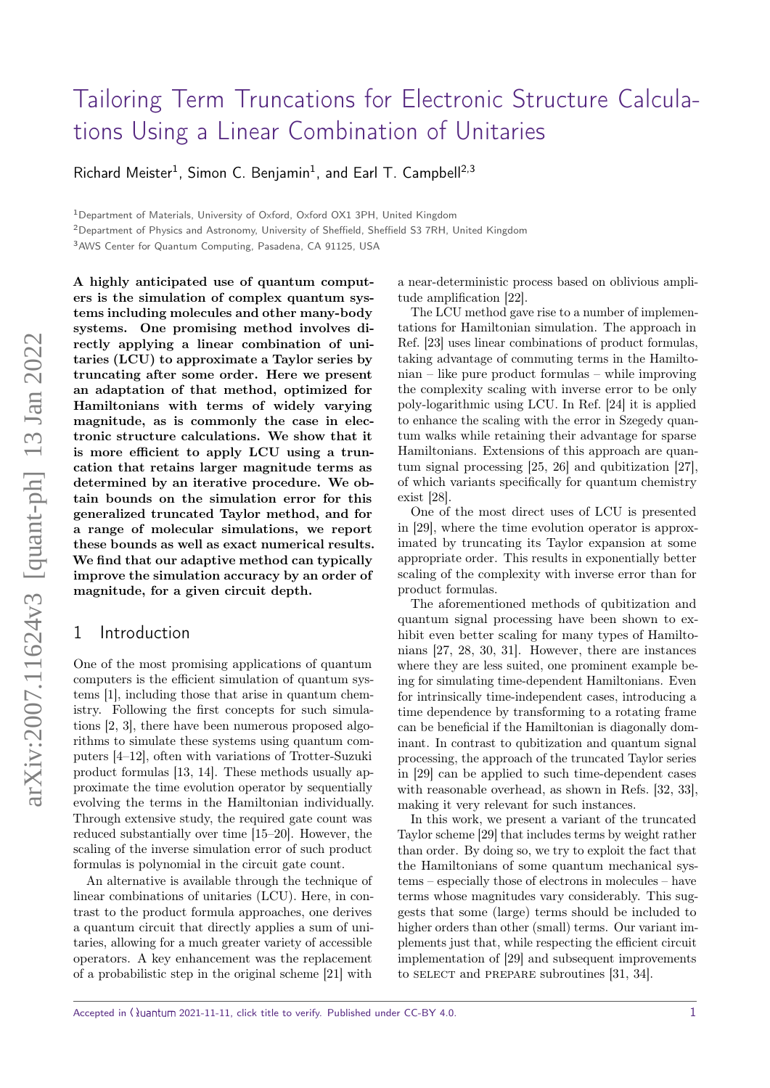# [Tailoring Term Truncations for Electronic Structure Calcula](https://quantum-journal.org/?s=Tailoring%20Term%20Truncations%20for%20Electronic%20Structure%20Calculations%20Using%20a%20Linear%20Combination%20of%20Unitaries&reason=title-click)[tions Using a Linear Combination of Unitaries](https://quantum-journal.org/?s=Tailoring%20Term%20Truncations%20for%20Electronic%20Structure%20Calculations%20Using%20a%20Linear%20Combination%20of%20Unitaries&reason=title-click)

Richard Meister<sup>1</sup>, Simon C. Benjamin<sup>1</sup>, and Earl T. Campbell<sup>2,3</sup>

<sup>1</sup>Department of Materials, University of Oxford, Oxford OX1 3PH, United Kingdom

<sup>2</sup>Department of Physics and Astronomy, University of Sheffield, Sheffield S3 7RH, United Kingdom

<sup>3</sup>AWS Center for Quantum Computing, Pasadena, CA 91125, USA

A highly anticipated use of quantum computers is the simulation of complex quantum systems including molecules and other many-body systems. One promising method involves directly applying a linear combination of unitaries (LCU) to approximate a Taylor series by truncating after some order. Here we present an adaptation of that method, optimized for Hamiltonians with terms of widely varying magnitude, as is commonly the case in electronic structure calculations. We show that it is more efficient to apply LCU using a truncation that retains larger magnitude terms as determined by an iterative procedure. We obtain bounds on the simulation error for this generalized truncated Taylor method, and for a range of molecular simulations, we report these bounds as well as exact numerical results. We find that our adaptive method can typically improve the simulation accuracy by an order of magnitude, for a given circuit depth.

## 1 Introduction

One of the most promising applications of quantum computers is the efficient simulation of quantum systems [\[1\]](#page-7-0), including those that arise in quantum chemistry. Following the first concepts for such simulations [\[2,](#page-7-1) [3\]](#page-7-2), there have been numerous proposed algorithms to simulate these systems using quantum computers [\[4–](#page-7-3)[12\]](#page-7-4), often with variations of Trotter-Suzuki product formulas [\[13,](#page-7-5) [14\]](#page-7-6). These methods usually approximate the time evolution operator by sequentially evolving the terms in the Hamiltonian individually. Through extensive study, the required gate count was reduced substantially over time [\[15](#page-7-7)[–20\]](#page-8-0). However, the scaling of the inverse simulation error of such product formulas is polynomial in the circuit gate count.

An alternative is available through the technique of linear combinations of unitaries (LCU). Here, in contrast to the product formula approaches, one derives a quantum circuit that directly applies a sum of unitaries, allowing for a much greater variety of accessible operators. A key enhancement was the replacement of a probabilistic step in the original scheme [\[21\]](#page-8-1) with

a near-deterministic process based on oblivious amplitude amplification [\[22\]](#page-8-2).

The LCU method gave rise to a number of implementations for Hamiltonian simulation. The approach in Ref. [\[23\]](#page-8-3) uses linear combinations of product formulas, taking advantage of commuting terms in the Hamiltonian – like pure product formulas – while improving the complexity scaling with inverse error to be only poly-logarithmic using LCU. In Ref. [\[24\]](#page-8-4) it is applied to enhance the scaling with the error in Szegedy quantum walks while retaining their advantage for sparse Hamiltonians. Extensions of this approach are quantum signal processing [\[25,](#page-8-5) [26\]](#page-8-6) and qubitization [\[27\]](#page-8-7), of which variants specifically for quantum chemistry exist [\[28\]](#page-8-8).

One of the most direct uses of LCU is presented in [\[29\]](#page-8-9), where the time evolution operator is approximated by truncating its Taylor expansion at some appropriate order. This results in exponentially better scaling of the complexity with inverse error than for product formulas.

The aforementioned methods of qubitization and quantum signal processing have been shown to exhibit even better scaling for many types of Hamiltonians [\[27,](#page-8-7) [28,](#page-8-8) [30,](#page-8-10) [31\]](#page-8-11). However, there are instances where they are less suited, one prominent example being for simulating time-dependent Hamiltonians. Even for intrinsically time-independent cases, introducing a time dependence by transforming to a rotating frame can be beneficial if the Hamiltonian is diagonally dominant. In contrast to qubitization and quantum signal processing, the approach of the truncated Taylor series in [\[29\]](#page-8-9) can be applied to such time-dependent cases with reasonable overhead, as shown in Refs. [\[32,](#page-8-12) [33\]](#page-8-13), making it very relevant for such instances.

In this work, we present a variant of the truncated Taylor scheme [\[29\]](#page-8-9) that includes terms by weight rather than order. By doing so, we try to exploit the fact that the Hamiltonians of some quantum mechanical systems – especially those of electrons in molecules – have terms whose magnitudes vary considerably. This suggests that some (large) terms should be included to higher orders than other (small) terms. Our variant implements just that, while respecting the efficient circuit implementation of [\[29\]](#page-8-9) and subsequent improvements to SELECT and PREPARE subroutines [\[31,](#page-8-11) [34\]](#page-8-14).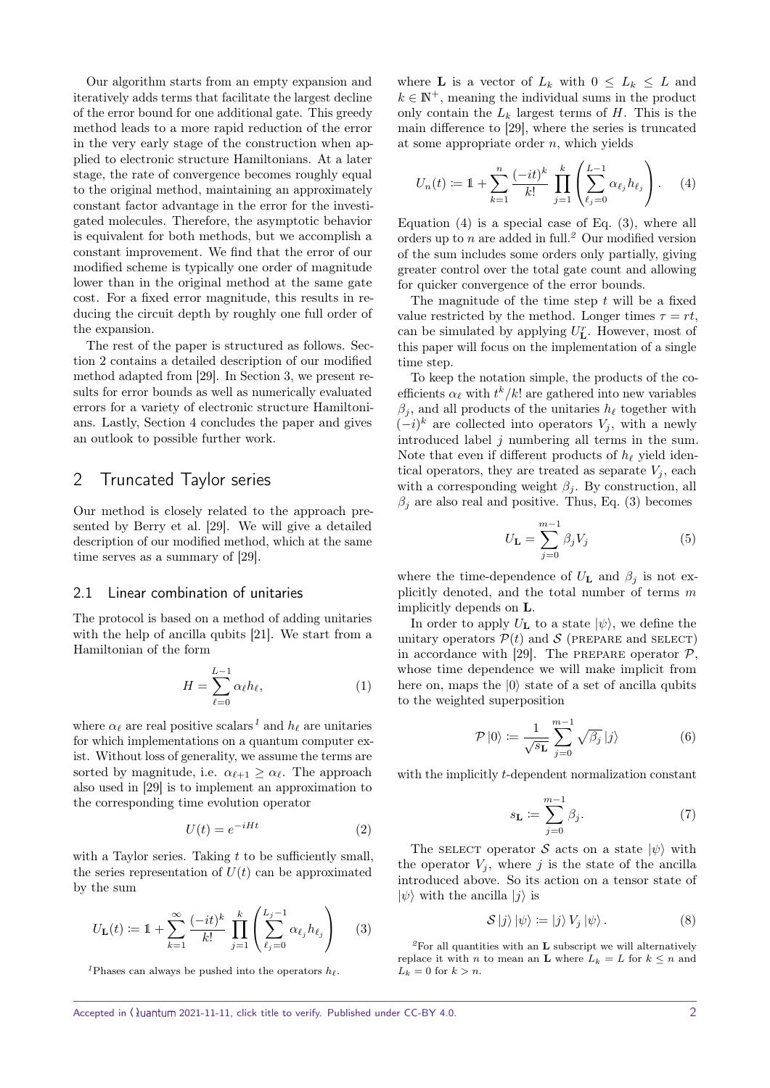Our algorithm starts from an empty expansion and iteratively adds terms that facilitate the largest decline of the error bound for one additional gate. This greedy method leads to a more rapid reduction of the error in the very early stage of the construction when applied to electronic structure Hamiltonians. At a later stage, the rate of convergence becomes roughly equal to the original method, maintaining an approximately constant factor advantage in the error for the investigated molecules. Therefore, the asymptotic behavior is equivalent for both methods, but we accomplish a constant improvement. We find that the error of our modified scheme is typically one order of magnitude lower than in the original method at the same gate cost. For a fixed error magnitude, this results in reducing the circuit depth by roughly one full order of the expansion.

The rest of the paper is structured as follows. Section [2](#page-1-0) contains a detailed description of our modified method adapted from [\[29\]](#page-8-9). In Section [3,](#page-4-0) we present results for error bounds as well as numerically evaluated errors for a variety of electronic structure Hamiltonians. Lastly, Section [4](#page-7-8) concludes the paper and gives an outlook to possible further work.

## <span id="page-1-0"></span>2 Truncated Taylor series

Our method is closely related to the approach presented by Berry et al. [\[29\]](#page-8-9). We will give a detailed description of our modified method, which at the same time serves as a summary of [\[29\]](#page-8-9).

#### 2.1 Linear combination of unitaries

The protocol is based on a method of adding unitaries with the help of ancilla qubits [\[21\]](#page-8-1). We start from a Hamiltonian of the form

<span id="page-1-6"></span>
$$
H = \sum_{\ell=0}^{L-1} \alpha_{\ell} h_{\ell}, \qquad (1)
$$

where  $\alpha_{\ell}$  are real positive scalars<sup>[1](#page-1-1)</sup> and  $h_{\ell}$  are unitaries for which implementations on a quantum computer exist. Without loss of generality, we assume the terms are sorted by magnitude, i.e.  $\alpha_{\ell+1} \geq \alpha_{\ell}$ . The approach also used in [\[29\]](#page-8-9) is to implement an approximation to the corresponding time evolution operator

$$
U(t) = e^{-iHt} \tag{2}
$$

with a Taylor series. Taking  $t$  to be sufficiently small, the series representation of  $U(t)$  can be approximated by the sum

<span id="page-1-3"></span>
$$
U_{\mathbf{L}}(t) := 1 + \sum_{k=1}^{\infty} \frac{(-it)^k}{k!} \prod_{j=1}^k \left( \sum_{\ell_j=0}^{L_j-1} \alpha_{\ell_j} h_{\ell_j} \right) \tag{3}
$$

<span id="page-1-1"></span><sup>1</sup>Phases can always be pushed into the operators  $h_{\ell}$ .

where **L** is a vector of  $L_k$  with  $0 \leq L_k \leq L$  and  $k \in \mathbb{N}^+$ , meaning the individual sums in the product only contain the  $L_k$  largest terms of  $H$ . This is the main difference to [\[29\]](#page-8-9), where the series is truncated at some appropriate order  $n$ , which yields

<span id="page-1-2"></span>
$$
U_n(t) := 1 + \sum_{k=1}^n \frac{(-it)^k}{k!} \prod_{j=1}^k \left( \sum_{\ell_j=0}^{L-1} \alpha_{\ell_j} h_{\ell_j} \right).
$$
 (4)

Equation  $(4)$  is a special case of Eq.  $(3)$ , where all orders up to *n* are added in full.<sup>[2](#page-1-4)</sup> Our modified version of the sum includes some orders only partially, giving greater control over the total gate count and allowing for quicker convergence of the error bounds.

The magnitude of the time step  $t$  will be a fixed value restricted by the method. Longer times  $\tau = rt$ , can be simulated by applying  $U_{\mathbf{L}}^{r}$ . However, most of this paper will focus on the implementation of a single time step.

To keep the notation simple, the products of the coefficients  $\alpha_{\ell}$  with  $t^k/k!$  are gathered into new variables  $\beta_i$ , and all products of the unitaries  $h_\ell$  together with  $(-i)^k$  are collected into operators  $V_j$ , with a newly introduced label  $j$  numbering all terms in the sum. Note that even if different products of  $h_\ell$  yield identical operators, they are treated as separate  $V_i$ , each with a corresponding weight  $\beta_j$ . By construction, all  $\beta_i$  are also real and positive. Thus, Eq. [\(3\)](#page-1-3) becomes

$$
U_{\mathbf{L}} = \sum_{j=0}^{m-1} \beta_j V_j \tag{5}
$$

where the time-dependence of  $U_{\mathbf{L}}$  and  $\beta_j$  is not explicitly denoted, and the total number of terms m implicitly depends on L.

In order to apply  $U_{\mathbf{L}}$  to a state  $|\psi\rangle$ , we define the unitary operators  $P(t)$  and  $S$  (PREPARE and SELECT) in accordance with [\[29\]](#page-8-9). The PREPARE operator  $P$ , whose time dependence we will make implicit from here on, maps the  $|0\rangle$  state of a set of ancilla qubits to the weighted superposition

<span id="page-1-5"></span>
$$
\mathcal{P}|0\rangle \coloneqq \frac{1}{\sqrt{s_{\mathbf{L}}}} \sum_{j=0}^{m-1} \sqrt{\beta_j} |j\rangle \tag{6}
$$

with the implicitly *t*-dependent normalization constant

$$
s_{\mathbf{L}} := \sum_{j=0}^{m-1} \beta_j.
$$
 (7)

The SELECT operator S acts on a state  $|\psi\rangle$  with the operator  $V_j$ , where j is the state of the ancilla introduced above. So its action on a tensor state of  $|\psi\rangle$  with the ancilla  $|j\rangle$  is

$$
S|j\rangle |\psi\rangle := |j\rangle V_j |\psi\rangle. \tag{8}
$$

<span id="page-1-4"></span> ${}^{2}$ For all quantities with an **L** subscript we will alternatively replace it with  $n$  to mean an  ${\bf L}$  where  $L_k$  =  $L$  for  $k$   $\leq$   $n$  and  $L_k = 0$  for  $k > n$ .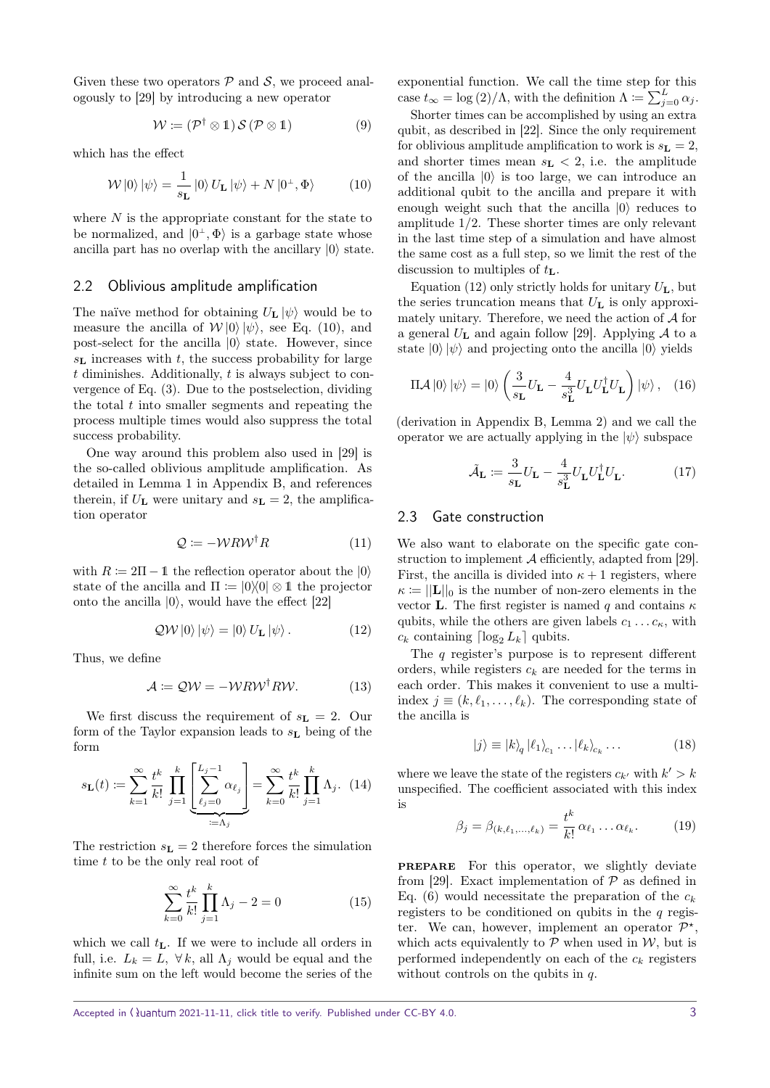Given these two operators  $P$  and  $S$ , we proceed analogously to [\[29\]](#page-8-9) by introducing a new operator

<span id="page-2-0"></span>
$$
\mathcal{W} := (\mathcal{P}^{\dagger} \otimes 1) \mathcal{S} (\mathcal{P} \otimes 1) \tag{9}
$$

which has the effect

$$
\mathcal{W} \left| 0 \right\rangle \left| \psi \right\rangle = \frac{1}{s_{\mathbf{L}}} \left| 0 \right\rangle U_{\mathbf{L}} \left| \psi \right\rangle + N \left| 0^{\perp}, \Phi \right\rangle \tag{10}
$$

where  $N$  is the appropriate constant for the state to be normalized, and  $|0^{\perp}, \Phi\rangle$  is a garbage state whose ancilla part has no overlap with the ancillary  $|0\rangle$  state.

#### 2.2 Oblivious amplitude amplification

The naïve method for obtaining  $U_{\mathbf{L}} |\psi\rangle$  would be to measure the ancilla of  $W|0\rangle |\psi\rangle$ , see Eq. [\(10\)](#page-2-0), and post-select for the ancilla  $|0\rangle$  state. However, since  $s<sub>L</sub>$  increases with t, the success probability for large  $t$  diminishes. Additionally,  $t$  is always subject to convergence of Eq. [\(3\)](#page-1-3). Due to the postselection, dividing the total  $t$  into smaller segments and repeating the process multiple times would also suppress the total success probability.

One way around this problem also used in [\[29\]](#page-8-9) is the so-called oblivious amplitude amplification. As detailed in Lemma [1](#page-10-0) in Appendix [B,](#page-10-1) and references therein, if  $U_{\mathbf{L}}$  were unitary and  $s_{\mathbf{L}} = 2$ , the amplification operator

<span id="page-2-2"></span>
$$
Q \coloneqq -\mathcal{W}R\mathcal{W}^{\dagger}R\tag{11}
$$

with  $R \coloneqq 2\Pi - 1$  the reflection operator about the  $|0\rangle$ state of the ancilla and  $\Pi := |0\rangle\langle 0| \otimes 1$  the projector onto the ancilla  $|0\rangle$ , would have the effect [\[22\]](#page-8-2)

$$
QW|0\rangle |\psi\rangle = |0\rangle U_{\mathbf{L}}|\psi\rangle.
$$
 (12)

Thus, we define

$$
\mathcal{A} \coloneqq \mathcal{QW} = -\mathcal{W} \mathcal{R} \mathcal{W}^{\dagger} \mathcal{R} \mathcal{W}. \tag{13}
$$

We first discuss the requirement of  $s_L = 2$ . Our form of the Taylor expansion leads to  $s<sub>L</sub>$  being of the form

<span id="page-2-3"></span>
$$
s_{\mathbf{L}}(t) := \sum_{k=1}^{\infty} \frac{t^k}{k!} \prod_{j=1}^k \left[ \sum_{\ell_j=0}^{L_j-1} \alpha_{\ell_j} \right] = \sum_{k=0}^{\infty} \frac{t^k}{k!} \prod_{j=1}^k \Lambda_j. \tag{14}
$$

The restriction  $s_{\mathbf{L}} = 2$  therefore forces the simulation time t to be the only real root of

$$
\sum_{k=0}^{\infty} \frac{t^k}{k!} \prod_{j=1}^k \Lambda_j - 2 = 0
$$
 (15)

which we call  $t_{\mathbf{L}}$ . If we were to include all orders in full, i.e.  $L_k = L$ ,  $\forall k$ , all  $\Lambda_j$  would be equal and the infinite sum on the left would become the series of the

exponential function. We call the time step for this case  $t_{\infty} = \log (2) / \Lambda$ , with the definition  $\Lambda \coloneqq \sum_{j=0}^{L} \alpha_j$ .

Shorter times can be accomplished by using an extra qubit, as described in [\[22\]](#page-8-2). Since the only requirement for oblivious amplitude amplification to work is  $s_{\mathbf{L}} = 2$ , and shorter times mean  $s_{L}$  < 2, i.e. the amplitude of the ancilla  $|0\rangle$  is too large, we can introduce an additional qubit to the ancilla and prepare it with enough weight such that the ancilla  $|0\rangle$  reduces to amplitude 1/2. These shorter times are only relevant in the last time step of a simulation and have almost the same cost as a full step, so we limit the rest of the discussion to multiples of  $t_{\mathbf{L}}$ .

Equation [\(12\)](#page-2-1) only strictly holds for unitary  $U_{\mathbf{L}}$ , but the series truncation means that  $U_{\mathbf{L}}$  is only approximately unitary. Therefore, we need the action of  $A$  for a general  $U_{\text{L}}$  and again follow [\[29\]](#page-8-9). Applying A to a state  $|0\rangle |\psi\rangle$  and projecting onto the ancilla  $|0\rangle$  yields

$$
\Pi \mathcal{A} \left| 0 \right\rangle \left| \psi \right\rangle = \left| 0 \right\rangle \left( \frac{3}{s_{\mathbf{L}}} U_{\mathbf{L}} - \frac{4}{s_{\mathbf{L}}^3} U_{\mathbf{L}} U_{\mathbf{L}}^{\dagger} U_{\mathbf{L}} \right) \left| \psi \right\rangle, \quad (16)
$$

(derivation in Appendix [B,](#page-10-1) Lemma [2\)](#page-10-2) and we call the operator we are actually applying in the  $|\psi\rangle$  subspace

$$
\tilde{\mathcal{A}}_{\mathbf{L}} \coloneqq \frac{3}{s_{\mathbf{L}}} U_{\mathbf{L}} - \frac{4}{s_{\mathbf{L}}^3} U_{\mathbf{L}} U_{\mathbf{L}}^{\dagger} U_{\mathbf{L}}.
$$
 (17)

#### 2.3 Gate construction

We also want to elaborate on the specific gate construction to implement  $A$  efficiently, adapted from [\[29\]](#page-8-9). First, the ancilla is divided into  $\kappa + 1$  registers, where  $\kappa \coloneqq ||\mathbf{L}||_0$  is the number of non-zero elements in the vector **L**. The first register is named q and contains  $\kappa$ qubits, while the others are given labels  $c_1 \ldots c_{\kappa}$ , with  $c_k$  containing  $\lceil \log_2 L_k \rceil$  qubits.

<span id="page-2-1"></span>The q register's purpose is to represent different orders, while registers  $c_k$  are needed for the terms in each order. This makes it convenient to use a multiindex  $j \equiv (k, \ell_1, \ldots, \ell_k)$ . The corresponding state of the ancilla is

$$
|j\rangle \equiv |k\rangle_q |\ell_1\rangle_{c_1} \dots |\ell_k\rangle_{c_k} \dots \tag{18}
$$

where we leave the state of the registers  $c_{k'}$  with  $k' > k$ unspecified. The coefficient associated with this index is

$$
\beta_j = \beta_{(k,\ell_1,\ldots,\ell_k)} = \frac{t^k}{k!} \alpha_{\ell_1} \ldots \alpha_{\ell_k}.
$$
 (19)

prepare For this operator, we slightly deviate from [\[29\]](#page-8-9). Exact implementation of  $P$  as defined in Eq. [\(6\)](#page-1-5) would necessitate the preparation of the  $c_k$ registers to be conditioned on qubits in the  $q$  register. We can, however, implement an operator  $\mathcal{P}^{\star}$ , which acts equivalently to  $P$  when used in  $W$ , but is performed independently on each of the  $c_k$  registers without controls on the qubits in  $q$ .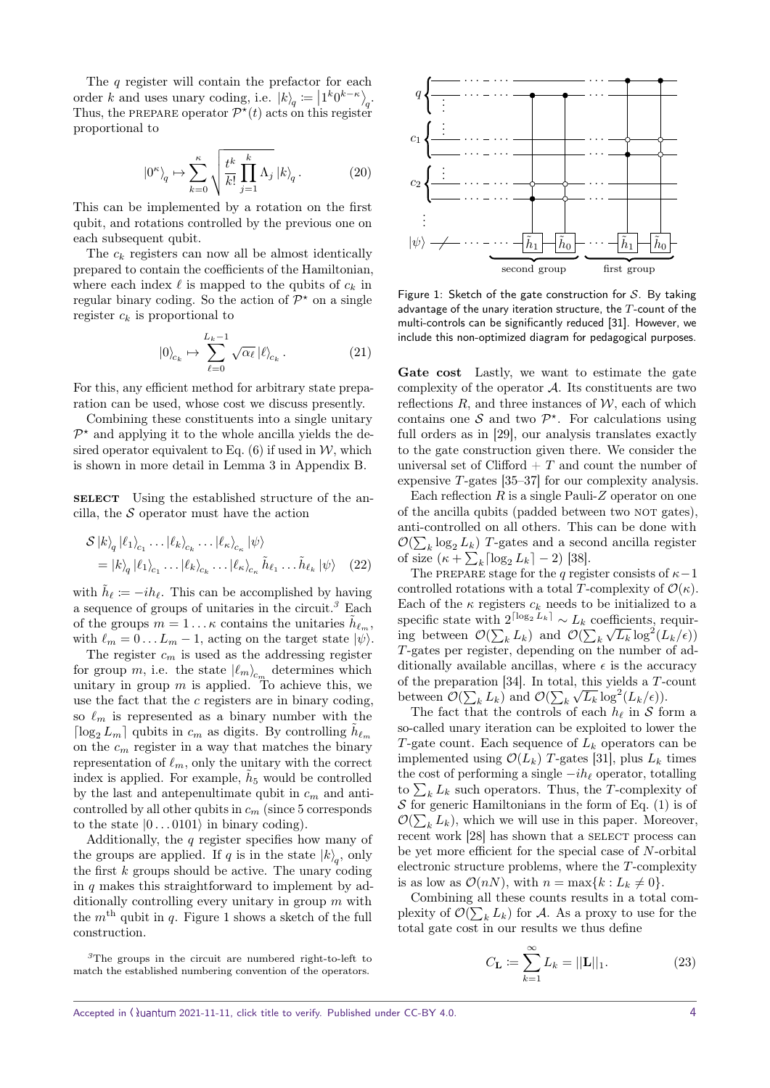The q register will contain the prefactor for each order k and uses unary coding, i.e.  $|k\rangle_q = |1^k 0^{k-\kappa}\rangle_q$ . Thus, the PREPARE operator  $\mathcal{P}^{\star}(t)$  acts on this register proportional to

$$
\left|0^{\kappa}\right\rangle_q \mapsto \sum_{k=0}^{\kappa} \sqrt{\frac{t^k}{k!} \prod_{j=1}^k \Lambda_j} \left|k\right\rangle_q. \tag{20}
$$

This can be implemented by a rotation on the first qubit, and rotations controlled by the previous one on each subsequent qubit.

The  $c_k$  registers can now all be almost identically prepared to contain the coefficients of the Hamiltonian, where each index  $\ell$  is mapped to the qubits of  $c_k$  in regular binary coding. So the action of  $\mathcal{P}^*$  on a single register  $c_k$  is proportional to

$$
|0\rangle_{c_k} \mapsto \sum_{\ell=0}^{L_k-1} \sqrt{\alpha_\ell} \, |\ell\rangle_{c_k} \,. \tag{21}
$$

For this, any efficient method for arbitrary state preparation can be used, whose cost we discuss presently.

Combining these constituents into a single unitary  $\mathcal{P}^*$  and applying it to the whole ancilla yields the desired operator equivalent to Eq.  $(6)$  if used in W, which is shown in more detail in Lemma [3](#page-11-0) in Appendix [B.](#page-10-1)

**SELECT** Using the established structure of the ancilla, the  $S$  operator must have the action

$$
\mathcal{S}|k\rangle_q |\ell_1\rangle_{c_1} \dots |\ell_k\rangle_{c_k} \dots |\ell_\kappa\rangle_{c_\kappa} |\psi\rangle
$$
  
= |k\rangle\_q |\ell\_1\rangle\_{c\_1} \dots |\ell\_k\rangle\_{c\_k} \dots |\ell\_\kappa\rangle\_{c\_\kappa} \tilde{h}\_{\ell\_1} \dots \tilde{h}\_{\ell\_k} |\psi\rangle (22)

with  $\tilde{h}_{\ell} := -ih_{\ell}$ . This can be accomplished by having a sequence of groups of unitaries in the circuit.<sup>[3](#page-3-0)</sup> Each of the groups  $m = 1 \dots \kappa$  contains the unitaries  $\tilde{h}_{\ell_m}$ , with  $\ell_m = 0 \dots L_m - 1$ , acting on the target state  $|\psi\rangle$ .

The register  $c_m$  is used as the addressing register for group  $m$ , i.e. the state  $|\ell_m\rangle_{c_m}$  determines which unitary in group  $m$  is applied. To achieve this, we use the fact that the  $c$  registers are in binary coding, so  $\ell_m$  is represented as a binary number with the  $\lceil \log_2 L_m \rceil$  qubits in  $c_m$  as digits. By controlling  $\tilde{h}_{\ell_m}$ on the  $c_m$  register in a way that matches the binary representation of  $\ell_m$ , only the unitary with the correct index is applied. For example,  $\tilde{h}_5$  would be controlled by the last and antepenultimate qubit in  $c_m$  and anticontrolled by all other qubits in  $c_m$  (since 5 corresponds to the state  $|0 \dots 0101\rangle$  in binary coding).

Additionally, the  $q$  register specifies how many of the groups are applied. If q is in the state  $|k\rangle_q$ , only the first  $k$  groups should be active. The unary coding in  $q$  makes this straightforward to implement by additionally controlling every unitary in group  $m$  with the  $m<sup>th</sup>$  qubit in q. Figure [1](#page-3-1) shows a sketch of the full construction.

<span id="page-3-0"></span>

<span id="page-3-1"></span>

Figure 1: Sketch of the gate construction for  $S$ . By taking advantage of the unary iteration structure, the  $T$ -count of the multi-controls can be significantly reduced [\[31\]](#page-8-11). However, we include this non-optimized diagram for pedagogical purposes.

Gate cost Lastly, we want to estimate the gate complexity of the operator  $A$ . Its constituents are two reflections  $R$ , and three instances of  $W$ , each of which contains one  $S$  and two  $\mathcal{P}^*$ . For calculations using full orders as in [\[29\]](#page-8-9), our analysis translates exactly to the gate construction given there. We consider the universal set of Clifford  $+ T$  and count the number of expensive T-gates [\[35](#page-8-15)[–37\]](#page-8-16) for our complexity analysis.

Each reflection  $R$  is a single Pauli-Z operator on one of the ancilla qubits (padded between two NOT gates). anti-controlled on all others. This can be done with  $\mathcal{O}(\sum_k \log_2 L_k)$  T-gates and a second ancilla register of size  $(\kappa + \sum_k \lceil \log_2 L_k \rceil - 2)$  [\[38\]](#page-8-17).

The PREPARE stage for the q register consists of  $\kappa-1$ controlled rotations with a total T-complexity of  $\mathcal{O}(\kappa)$ . Each of the  $\kappa$  registers  $c_k$  needs to be initialized to a specific state with  $2^{\lceil \log_2 L_k \rceil} \sim L_k$  coefficients, requiring between  $\mathcal{O}(\sum_k L_k)$  and  $\mathcal{O}(\sum_k \sqrt{L_k} \log^2(L_k/\epsilon))$ T-gates per register, depending on the number of additionally available ancillas, where  $\epsilon$  is the accuracy of the preparation [\[34\]](#page-8-14). In total, this yields a T-count between  $\mathcal{O}(\sum_k L_k)$  and  $\mathcal{O}(\sum_k \sqrt{L_k} \log^2(L_k/\epsilon)).$ 

The fact that the controls of each  $h_\ell$  in S form a so-called unary iteration can be exploited to lower the T-gate count. Each sequence of  $L_k$  operators can be implemented using  $\mathcal{O}(L_k)$  T-gates [\[31\]](#page-8-11), plus  $L_k$  times the cost of performing a single  $-i\hbar_\ell$  operator, totalling to  $\sum_k L_k$  such operators. Thus, the T-complexity of  $S$  for generic Hamiltonians in the form of Eq. [\(1\)](#page-1-6) is of  $\mathcal{O}(\sum_k L_k)$ , which we will use in this paper. Moreover, recent work [\[28\]](#page-8-8) has shown that a SELECT process can be yet more efficient for the special case of N-orbital electronic structure problems, where the T-complexity is as low as  $\mathcal{O}(nN)$ , with  $n = \max\{k : L_k \neq 0\}.$ 

Combining all these counts results in a total complexity of  $\mathcal{O}(\sum_k L_k)$  for A. As a proxy to use for the total gate cost in our results we thus define

<span id="page-3-2"></span>
$$
C_{\mathbf{L}} := \sum_{k=1}^{\infty} L_k = ||\mathbf{L}||_1.
$$
 (23)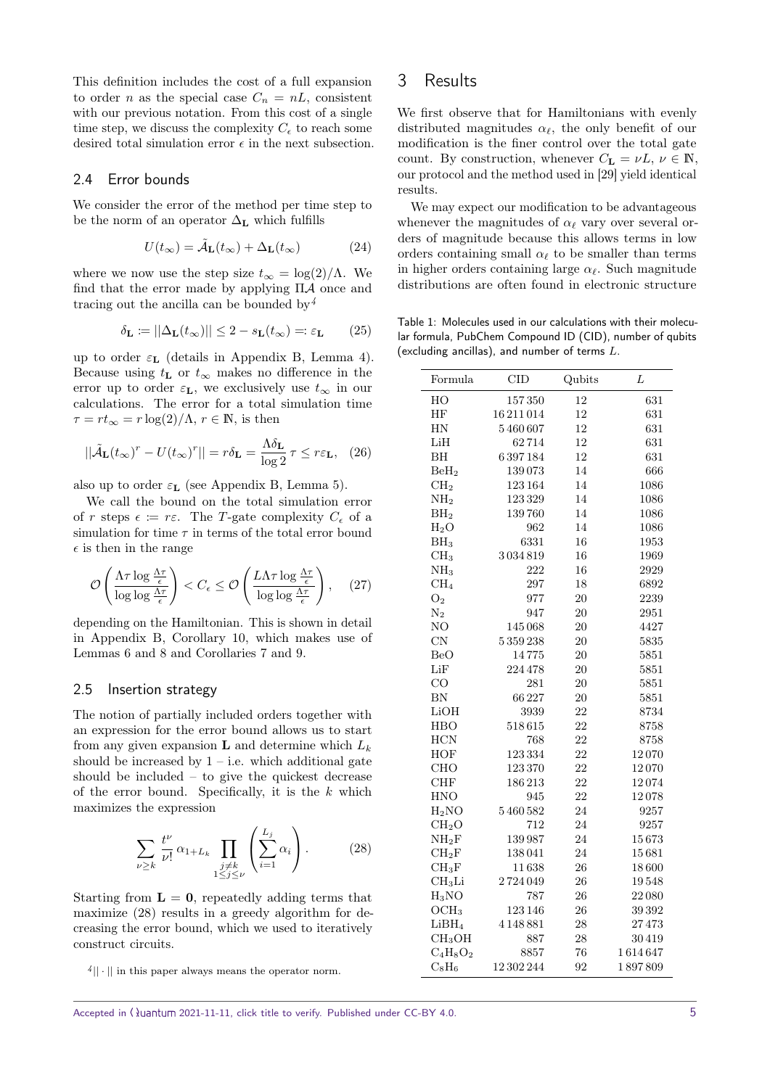This definition includes the cost of a full expansion to order *n* as the special case  $C_n = nL$ , consistent with our previous notation. From this cost of a single time step, we discuss the complexity  $C_{\epsilon}$  to reach some desired total simulation error  $\epsilon$  in the next subsection.

#### 2.4 Error bounds

We consider the error of the method per time step to be the norm of an operator  $\Delta_{\mathbf{L}}$  which fulfills

$$
U(t_{\infty}) = \tilde{\mathcal{A}}_{\mathbf{L}}(t_{\infty}) + \Delta_{\mathbf{L}}(t_{\infty})
$$
 (24)

where we now use the step size  $t_{\infty} = \log(2)/\Lambda$ . We find that the error made by applying ΠA once and tracing out the ancilla can be bounded by  $\frac{4}{3}$  $\frac{4}{3}$  $\frac{4}{3}$ 

$$
\delta_{\mathbf{L}} := ||\Delta_{\mathbf{L}}(t_{\infty})|| \le 2 - s_{\mathbf{L}}(t_{\infty}) =: \varepsilon_{\mathbf{L}} \qquad (25)
$$

up to order  $\varepsilon_{\mathbf{L}}$  (details in Appendix [B,](#page-10-1) Lemma [4\)](#page-11-1). Because using  $t_{\mathbf{L}}$  or  $t_{\infty}$  makes no difference in the error up to order  $\varepsilon_{\mathbf{L}}$ , we exclusively use  $t_{\infty}$  in our calculations. The error for a total simulation time  $\tau = rt_{\infty} = r \log(2)/\Lambda$ ,  $r \in \mathbb{N}$ , is then

$$
||\tilde{\mathcal{A}}_{\mathbf{L}}(t_{\infty})^{r} - U(t_{\infty})^{r}|| = r\delta_{\mathbf{L}} = \frac{\Lambda \delta_{\mathbf{L}}}{\log 2} \tau \leq r\varepsilon_{\mathbf{L}}, \quad (26)
$$

also up to order  $\varepsilon_{\mathbf{L}}$  (see Appendix [B,](#page-10-1) Lemma [5\)](#page-12-0).

We call the bound on the total simulation error of r steps  $\epsilon := r \epsilon$ . The T-gate complexity  $C_{\epsilon}$  of a simulation for time  $\tau$  in terms of the total error bound  $\epsilon$  is then in the range

$$
\mathcal{O}\left(\frac{\Lambda\tau\log\frac{\Lambda\tau}{\epsilon}}{\log\log\frac{\Lambda\tau}{\epsilon}}\right) < C_{\epsilon} \leq \mathcal{O}\left(\frac{L\Lambda\tau\log\frac{\Lambda\tau}{\epsilon}}{\log\log\frac{\Lambda\tau}{\epsilon}}\right),\tag{27}
$$

depending on the Hamiltonian. This is shown in detail in Appendix [B,](#page-10-1) Corollary [10,](#page-13-0) which makes use of Lemmas [6](#page-12-1) and [8](#page-13-1) and Corollaries [7](#page-13-2) and [9.](#page-13-3)

#### 2.5 Insertion strategy

The notion of partially included orders together with an expression for the error bound allows us to start from any given expansion **L** and determine which  $L_k$ should be increased by  $1 - i.e.$  which additional gate should be included – to give the quickest decrease of the error bound. Specifically, it is the  $k$  which maximizes the expression

<span id="page-4-2"></span>
$$
\sum_{\nu \geq k} \frac{t^{\nu}}{\nu!} \alpha_{1+L_k} \prod_{\substack{j \neq k \\ 1 \leq j \leq \nu}} \left( \sum_{i=1}^{L_j} \alpha_i \right). \tag{28}
$$

Starting from  $\mathbf{L} = \mathbf{0}$ , repeatedly adding terms that maximize [\(28\)](#page-4-2) results in a greedy algorithm for decreasing the error bound, which we used to iteratively construct circuits.

<span id="page-4-1"></span> $\frac{4}{\vert \cdot \vert}$  in this paper always means the operator norm.

## <span id="page-4-0"></span>3 Results

We first observe that for Hamiltonians with evenly distributed magnitudes  $\alpha_{\ell}$ , the only benefit of our modification is the finer control over the total gate count. By construction, whenever  $C_{\mathbf{L}} = \nu L, \nu \in \mathbb{N}$ , our protocol and the method used in [\[29\]](#page-8-9) yield identical results.

We may expect our modification to be advantageous whenever the magnitudes of  $\alpha_{\ell}$  vary over several orders of magnitude because this allows terms in low orders containing small  $\alpha_{\ell}$  to be smaller than terms in higher orders containing large  $\alpha_{\ell}$ . Such magnitude distributions are often found in electronic structure

<span id="page-4-3"></span>Table 1: Molecules used in our calculations with their molecular formula, PubChem Compound ID (CID), number of qubits (excluding ancillas), and number of terms  $L$ .

| Formula            | <b>CID</b> | Qubits    | L       |
|--------------------|------------|-----------|---------|
| HO                 | 157350     | 12        | 631     |
| HF                 | 16211014   | 12        | 631     |
| HN                 | 5460607    | 12        | 631     |
| LiH                | 62714      | 12        | 631     |
| BH                 | 6397184    | 12        | 631     |
| $\mathrm{BeH}_2$   | 139073     | 14        | 666     |
| CH <sub>2</sub>    | 123164     | 14        | 1086    |
| NH <sub>2</sub>    | 123329     | 14        | 1086    |
| BH <sub>2</sub>    | 139760     | 14        | 1086    |
| $H_2O$             | 962        | 14        | 1086    |
| BH <sub>3</sub>    | 6331       | 16        | 1953    |
| CH <sub>3</sub>    | 3034819    | 16        | 1969    |
| NH <sub>3</sub>    | 222        | 16        | 2929    |
| CH <sub>4</sub>    | 297        | 18        | 6892    |
| O <sub>2</sub>     | 977        | <b>20</b> | 2239    |
| $\rm N_2$          | 947        | $20\,$    | 2951    |
| NO                 | 145068     | 20        | 4427    |
| $\text{CN}$        | 5359238    | $20\,$    | 5835    |
| <b>BeO</b>         | 14775      | 20        | 5851    |
| LiF                | 224 478    | 20        | 5851    |
| CO                 | 281        | 20        | 5851    |
| BN                 | 66227      | $20\,$    | 5851    |
| LiOH               | 3939       | 22        | 8734    |
| <b>HBO</b>         | 518615     | 22        | 8758    |
| <b>HCN</b>         | 768        | 22        | 8758    |
| <b>HOF</b>         | 123334     | 22        | 12070   |
| <b>CHO</b>         | 123370     | 22        | 12070   |
| <b>CHF</b>         | 186213     | 22        | 12074   |
| <b>HNO</b>         | 945        | 22        | 12078   |
| $H_2NO$            | 5460582    | 24        | 9257    |
| CH <sub>2</sub> O  | 712        | 24        | 9257    |
| $NH_2F$            | 139987     | 24        | 15673   |
| $CH_2F$            | 138041     | 24        | 15681   |
| $CH_3F$            | 11638      | 26        | 18600   |
| CH <sub>3</sub> Li | 2724049    | 26        | 19548   |
| $H_3NO$            | 787        | 26        | 22080   |
| OCH <sub>3</sub>   | 123146     | 26        | 39392   |
| LiBH <sub>4</sub>  | 4148881    | 28        | 27473   |
| CH <sub>3</sub> OH | 887        | 28        | 30419   |
| $C_4H_8O_2$        | 8857       | 76        | 1614647 |
| $\rm CaH_6$        | 12 302 244 | 92        | 1897809 |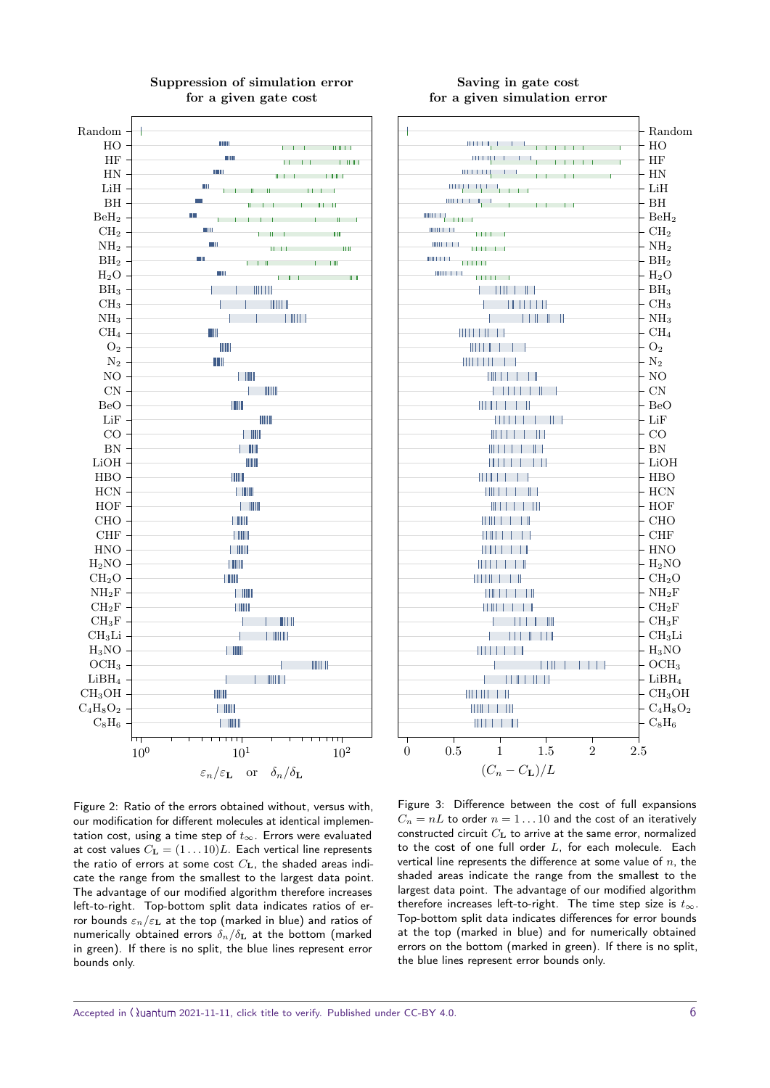<span id="page-5-0"></span>



#### Figure 2: Ratio of the errors obtained without, versus with, our modification for different molecules at identical implementation cost, using a time step of  $t_{\infty}$ . Errors were evaluated at cost values  $C_{\mathbf{L}} = (1 \dots 10)L$ . Each vertical line represents the ratio of errors at some cost  $C_{\text{L}}$ , the shaded areas indicate the range from the smallest to the largest data point. The advantage of our modified algorithm therefore increases left-to-right. Top-bottom split data indicates ratios of error bounds  $\varepsilon_n/\varepsilon_{\text{L}}$  at the top (marked in blue) and ratios of numerically obtained errors  $\delta_n/\delta_{\bf L}$  at the bottom (marked

in green). If there is no split, the blue lines represent error

bounds only.

#### <span id="page-5-1"></span>Saving in gate cost for a given simulation error

| ł                                                                                                                                                                                                                                                          | Random                                                                                                                                           |
|------------------------------------------------------------------------------------------------------------------------------------------------------------------------------------------------------------------------------------------------------------|--------------------------------------------------------------------------------------------------------------------------------------------------|
| and the contract of the contract of the contract of the contract of the contract of the contract of the contract of the contract of the contract of the contract of the contract of the contract of the contract of the contra<br>$\overline{\phantom{0}}$ | $-$ HO                                                                                                                                           |
| and the contract of the contract of the contract of the contract of the contract of the contract of the contract of the contract of the contract of the contract of the contract of the contract of the contract of the contra                             | $-$ HF                                                                                                                                           |
|                                                                                                                                                                                                                                                            | $- HN$                                                                                                                                           |
|                                                                                                                                                                                                                                                            | $-$ LiH                                                                                                                                          |
|                                                                                                                                                                                                                                                            | - BH                                                                                                                                             |
|                                                                                                                                                                                                                                                            | $\mathsf{L}_{\text{BeH}_2}$                                                                                                                      |
|                                                                                                                                                                                                                                                            | $-$ CH <sub>2</sub>                                                                                                                              |
| $\text{min} \left( \begin{array}{c} 1 & 1 \\ 1 & 1 \end{array} \right)$<br>$\overline{1111}$ if $\overline{11}$                                                                                                                                            | - $NH2$                                                                                                                                          |
| HIII I I I<br>$\Box$                                                                                                                                                                                                                                       | $\mathsf{\mathsf{L}}_{\mathrm{BH_2}}$                                                                                                            |
| <b>HILL LATER</b><br>$\mathbf{H}$                                                                                                                                                                                                                          | $- H_2O$                                                                                                                                         |
| $\begin{tabular}{c} - & &       &    &    &    &  \end{tabular}$                                                                                                                                                                                           | $\vert$ BH <sub>3</sub>                                                                                                                          |
| $\mathcal{A} = \mathcal{A} \cup \mathcal{A} \cup \mathcal{A}$                                                                                                                                                                                              | $\rm{\mathop{\rule{0pt}{0.5ex}\hbox{--}}\nolimits C}\mathop{\rule{0pt}{0.5ex}\hbox{--}}\nolimits_{\mathop{\rule{0pt}{0.5ex}\hbox{--}}\nolimits}$ |
| $\sim$ $\sim$ $\sim$ $\sim$ $\sim$ $\sim$ $\sim$                                                                                                                                                                                                           | $-NH3$                                                                                                                                           |
|                                                                                                                                                                                                                                                            | $-$ CH <sub>4</sub>                                                                                                                              |
|                                                                                                                                                                                                                                                            | $-$ O <sub>2</sub>                                                                                                                               |
| 11                                                                                                                                                                                                                                                         | $\cdot$ N <sub>2</sub>                                                                                                                           |
| $\begin{array}{c} \begin{array}{c} \begin{array}{c} \end{array} \\ \begin{array}{c} \end{array} \end{array} \end{array}$<br>1                                                                                                                              | $\mathbf{L_{NO}}$                                                                                                                                |
|                                                                                                                                                                                                                                                            | $- CN$                                                                                                                                           |
| 11 I II                                                                                                                                                                                                                                                    | - BeO                                                                                                                                            |
|                                                                                                                                                                                                                                                            | $\vdash$ LiF                                                                                                                                     |
| $\pm$ 11 $\pm$<br>Ш                                                                                                                                                                                                                                        | $-CO$                                                                                                                                            |
| 11 I                                                                                                                                                                                                                                                       | $-$ BN                                                                                                                                           |
| LН<br>.                                                                                                                                                                                                                                                    | $\vdash$ LiOH                                                                                                                                    |
| 1111                                                                                                                                                                                                                                                       | HBO                                                                                                                                              |
| - 11<br>111 L L                                                                                                                                                                                                                                            | $\vdash$ HCN                                                                                                                                     |
| $\mathbb{R}$ . The                                                                                                                                                                                                                                         |                                                                                                                                                  |
| 4 H III                                                                                                                                                                                                                                                    | $-$ HOF<br>$-$ CHO                                                                                                                               |
| 1 I II                                                                                                                                                                                                                                                     | $\vdash$ CHF                                                                                                                                     |
|                                                                                                                                                                                                                                                            | - HNO                                                                                                                                            |
|                                                                                                                                                                                                                                                            | - $H_2NO$                                                                                                                                        |
| 11 1 1                                                                                                                                                                                                                                                     | $-$ CH <sub>2</sub> O                                                                                                                            |
|                                                                                                                                                                                                                                                            | $-$ NH <sub>2</sub> F                                                                                                                            |
|                                                                                                                                                                                                                                                            | $\mathcal{L}_{\rm CH_2F}$                                                                                                                        |
| 11 II 11                                                                                                                                                                                                                                                   | $-$ CH <sub>3</sub> F                                                                                                                            |
|                                                                                                                                                                                                                                                            |                                                                                                                                                  |
| $\mathbf{1}$ $\mathbf{1}$ $\mathbf{1}$ $\mathbf{1}$<br>L                                                                                                                                                                                                   | CH <sub>3</sub> Li                                                                                                                               |
|                                                                                                                                                                                                                                                            | $\vdash$ H <sub>3</sub> NO                                                                                                                       |
|                                                                                                                                                                                                                                                            | $\begin{array}{ c } \text{OCH}_3 \ \text{LiBH}_4 \end{array}$                                                                                    |
| <b>HELL HELL</b>                                                                                                                                                                                                                                           |                                                                                                                                                  |
| 111                                                                                                                                                                                                                                                        | $-$ CH <sub>3</sub> OH                                                                                                                           |
|                                                                                                                                                                                                                                                            | $C_4H_8O_2$                                                                                                                                      |
|                                                                                                                                                                                                                                                            | - $C_8H_6$                                                                                                                                       |
| $\top$<br>$\top$<br>т                                                                                                                                                                                                                                      |                                                                                                                                                  |
| $\overline{2}$<br>2.5<br>0.5<br>$\mathbf 1$<br>1.5<br>$\overline{0}$                                                                                                                                                                                       |                                                                                                                                                  |
| $(C_n - C_{\mathbf{L}})/L$                                                                                                                                                                                                                                 |                                                                                                                                                  |

Figure 3: Difference between the cost of full expansions  $C_n = nL$  to order  $n = 1...10$  and the cost of an iteratively constructed circuit  $C_{\mathbf{L}}$  to arrive at the same error, normalized to the cost of one full order  $L$ , for each molecule. Each vertical line represents the difference at some value of  $n$ , the shaded areas indicate the range from the smallest to the largest data point. The advantage of our modified algorithm therefore increases left-to-right. The time step size is  $t_{\infty}$ . Top-bottom split data indicates differences for error bounds at the top (marked in blue) and for numerically obtained errors on the bottom (marked in green). If there is no split, the blue lines represent error bounds only.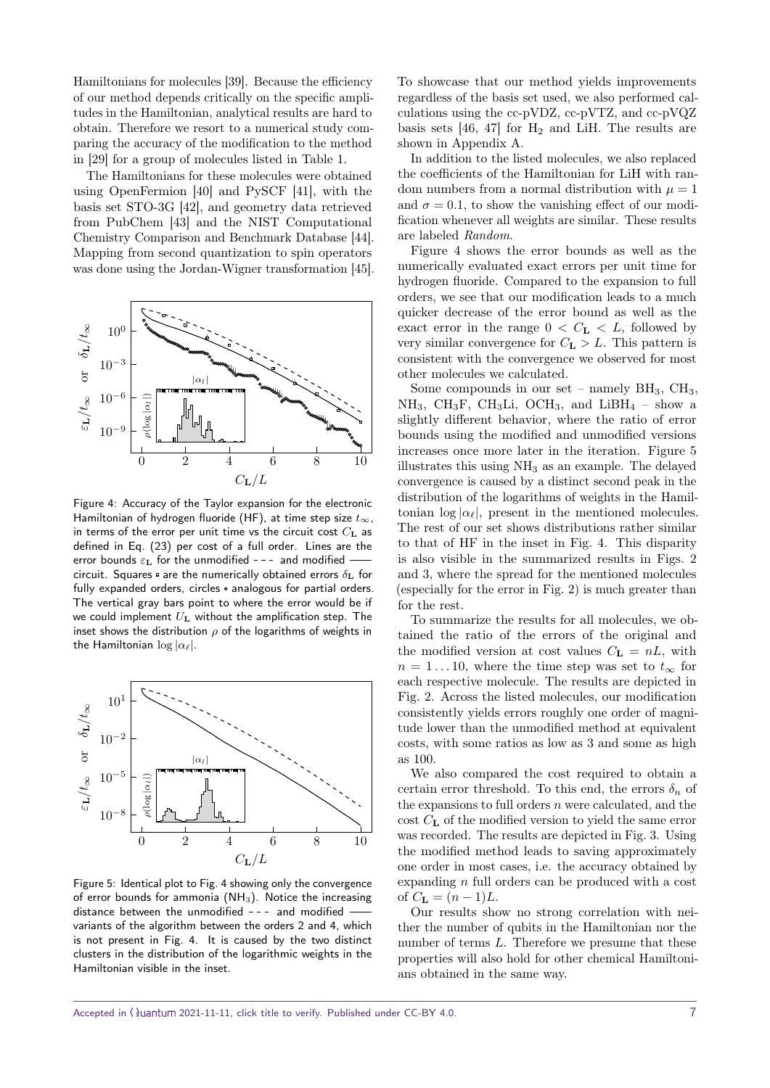Hamiltonians for molecules [\[39\]](#page-8-18). Because the efficiency of our method depends critically on the specific amplitudes in the Hamiltonian, analytical results are hard to obtain. Therefore we resort to a numerical study comparing the accuracy of the modification to the method in [\[29\]](#page-8-9) for a group of molecules listed in Table [1.](#page-4-3)

The Hamiltonians for these molecules were obtained using OpenFermion [\[40\]](#page-8-19) and PySCF [\[41\]](#page-9-0), with the basis set STO-3G [\[42\]](#page-9-1), and geometry data retrieved from PubChem [\[43\]](#page-9-2) and the NIST Computational Chemistry Comparison and Benchmark Database [\[44\]](#page-9-3). Mapping from second quantization to spin operators was done using the Jordan-Wigner transformation [\[45\]](#page-9-4).

<span id="page-6-0"></span>

Figure 4: Accuracy of the Taylor expansion for the electronic Hamiltonian of hydrogen fluoride (HF), at time step size  $t_{\infty}$ , in terms of the error per unit time vs the circuit cost  $C_{\text{L}}$  as defined in Eq. [\(23\)](#page-3-2) per cost of a full order. Lines are the error bounds  $\varepsilon_{\text{L}}$  for the unmodified --- and modified circuit. Squares  $\Phi$  are the numerically obtained errors  $\delta_{\mathbf{L}}$  for fully expanded orders, circles  $\circ$  analogous for partial orders. The vertical gray bars point to where the error would be if we could implement  $U_L$  without the amplification step. The inset shows the distribution  $\rho$  of the logarithms of weights in the Hamiltonian  $\log |\alpha_{\ell}|$ .

<span id="page-6-1"></span>

Figure 5: Identical plot to Fig. [4](#page-6-0) showing only the convergence of error bounds for ammonia (NH<sub>3</sub>). Notice the increasing distance between the unmodified  $-$  - and modified  $$ variants of the algorithm between the orders 2 and 4, which is not present in Fig. [4.](#page-6-0) It is caused by the two distinct clusters in the distribution of the logarithmic weights in the Hamiltonian visible in the inset.

To showcase that our method yields improvements regardless of the basis set used, we also performed calculations using the cc-pVDZ, cc-pVTZ, and cc-pVQZ basis sets  $[46, 47]$  $[46, 47]$  $[46, 47]$  for  $H_2$  and LiH. The results are shown in Appendix [A.](#page-9-7)

In addition to the listed molecules, we also replaced the coefficients of the Hamiltonian for LiH with random numbers from a normal distribution with  $\mu = 1$ and  $\sigma = 0.1$ , to show the vanishing effect of our modification whenever all weights are similar. These results are labeled Random.

Figure [4](#page-6-0) shows the error bounds as well as the numerically evaluated exact errors per unit time for hydrogen fluoride. Compared to the expansion to full orders, we see that our modification leads to a much quicker decrease of the error bound as well as the exact error in the range  $0 < C_{L} < L$ , followed by very similar convergence for  $C_{\mathbf{L}} > L$ . This pattern is consistent with the convergence we observed for most other molecules we calculated.

Some compounds in our set – namely  $BH<sub>3</sub>$ ,  $CH<sub>3</sub>$ ,  $NH_3$ , CH<sub>3</sub>F, CH<sub>3</sub>Li, OCH<sub>3</sub>, and LiBH<sub>4</sub> – show a slightly different behavior, where the ratio of error bounds using the modified and unmodified versions increases once more later in the iteration. Figure [5](#page-6-1) illustrates this using  $NH<sub>3</sub>$  as an example. The delayed convergence is caused by a distinct second peak in the distribution of the logarithms of weights in the Hamiltonian  $\log |\alpha_{\ell}|$ , present in the mentioned molecules. The rest of our set shows distributions rather similar to that of HF in the inset in Fig. [4.](#page-6-0) This disparity is also visible in the summarized results in Figs. [2](#page-5-0) and [3,](#page-5-1) where the spread for the mentioned molecules (especially for the error in Fig. [2\)](#page-5-0) is much greater than for the rest.

To summarize the results for all molecules, we obtained the ratio of the errors of the original and the modified version at cost values  $C_{\mathbf{L}} = nL$ , with  $n = 1 \dots 10$ , where the time step was set to  $t_{\infty}$  for each respective molecule. The results are depicted in Fig. [2.](#page-5-0) Across the listed molecules, our modification consistently yields errors roughly one order of magnitude lower than the unmodified method at equivalent costs, with some ratios as low as 3 and some as high as 100.

We also compared the cost required to obtain a certain error threshold. To this end, the errors  $\delta_n$  of the expansions to full orders  $n$  were calculated, and the cost $C_{\mathbf{L}}$  of the modified version to yield the same error was recorded. The results are depicted in Fig. [3.](#page-5-1) Using the modified method leads to saving approximately one order in most cases, i.e. the accuracy obtained by expanding n full orders can be produced with a cost of  $C_{\mathbf{L}} = (n-1)L$ .

Our results show no strong correlation with neither the number of qubits in the Hamiltonian nor the number of terms L. Therefore we presume that these properties will also hold for other chemical Hamiltonians obtained in the same way.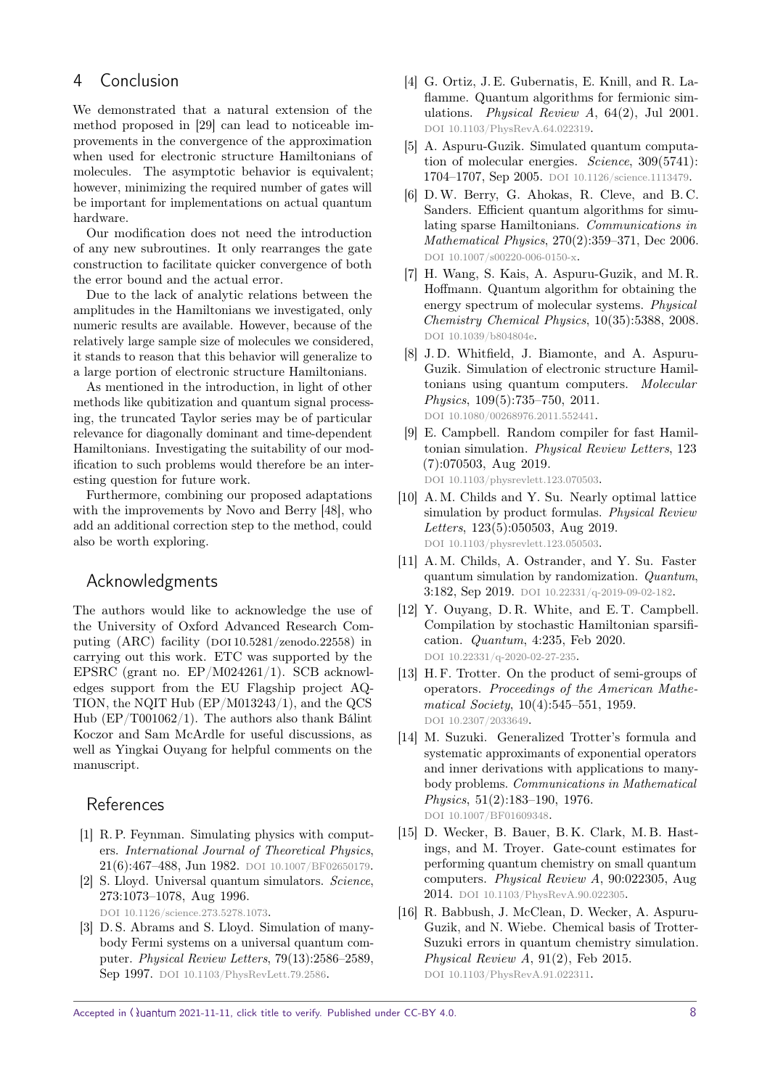## <span id="page-7-8"></span>4 Conclusion

We demonstrated that a natural extension of the method proposed in [\[29\]](#page-8-9) can lead to noticeable improvements in the convergence of the approximation when used for electronic structure Hamiltonians of molecules. The asymptotic behavior is equivalent; however, minimizing the required number of gates will be important for implementations on actual quantum hardware.

Our modification does not need the introduction of any new subroutines. It only rearranges the gate construction to facilitate quicker convergence of both the error bound and the actual error.

Due to the lack of analytic relations between the amplitudes in the Hamiltonians we investigated, only numeric results are available. However, because of the relatively large sample size of molecules we considered, it stands to reason that this behavior will generalize to a large portion of electronic structure Hamiltonians.

As mentioned in the introduction, in light of other methods like qubitization and quantum signal processing, the truncated Taylor series may be of particular relevance for diagonally dominant and time-dependent Hamiltonians. Investigating the suitability of our modification to such problems would therefore be an interesting question for future work.

Furthermore, combining our proposed adaptations with the improvements by Novo and Berry [\[48\]](#page-9-8), who add an additional correction step to the method, could also be worth exploring.

## Acknowledgments

The authors would like to acknowledge the use of the University of Oxford Advanced Research Computing  $(ARC)$  facility  $(DOI 10.5281/zenodo.22558)$  $(DOI 10.5281/zenodo.22558)$  $(DOI 10.5281/zenodo.22558)$  in carrying out this work. ETC was supported by the EPSRC (grant no. EP/M024261/1). SCB acknowledges support from the EU Flagship project AQ-TION, the NQIT Hub (EP/M013243/1), and the QCS Hub (EP/T001062/1). The authors also thank Bálint Koczor and Sam McArdle for useful discussions, as well as Yingkai Ouyang for helpful comments on the manuscript.

### References

- <span id="page-7-0"></span>[1] R. P. Feynman. Simulating physics with computers. International Journal of Theoretical Physics, 21(6):467-488, Jun 1982. DOI [10.1007/BF02650179](https://doi.org/10.1007/BF02650179).
- <span id="page-7-1"></span>[2] S. Lloyd. Universal quantum simulators. Science, 273:1073–1078, Aug 1996. DOI [10.1126/science.273.5278.1073](https://doi.org/10.1126/science.273.5278.1073).
- <span id="page-7-2"></span>[3] D. S. Abrams and S. Lloyd. Simulation of manybody Fermi systems on a universal quantum computer. Physical Review Letters, 79(13):2586–2589, Sep 1997. DOI [10.1103/PhysRevLett.79.2586](https://doi.org/10.1103/PhysRevLett.79.2586).
- <span id="page-7-3"></span>[4] G. Ortiz, J. E. Gubernatis, E. Knill, and R. Laflamme. Quantum algorithms for fermionic simulations. Physical Review A, 64(2), Jul 2001. DOI [10.1103/PhysRevA.64.022319](https://doi.org/10.1103/PhysRevA.64.022319).
- [5] A. Aspuru-Guzik. Simulated quantum computation of molecular energies. Science, 309(5741): 1704–1707, Sep 2005. DOI [10.1126/science.1113479](https://doi.org/10.1126/science.1113479).
- [6] D.W. Berry, G. Ahokas, R. Cleve, and B. C. Sanders. Efficient quantum algorithms for simulating sparse Hamiltonians. Communications in Mathematical Physics, 270(2):359–371, Dec 2006. DOI [10.1007/s00220-006-0150-x](https://doi.org/10.1007/s00220-006-0150-x).
- [7] H. Wang, S. Kais, A. Aspuru-Guzik, and M. R. Hoffmann. Quantum algorithm for obtaining the energy spectrum of molecular systems. Physical Chemistry Chemical Physics, 10(35):5388, 2008. DOI [10.1039/b804804e](https://doi.org/10.1039/b804804e).
- [8] J. D. Whitfield, J. Biamonte, and A. Aspuru-Guzik. Simulation of electronic structure Hamiltonians using quantum computers. Molecular Physics, 109(5):735–750, 2011. doi [10.1080/00268976.2011.552441](https://doi.org/10.1080/00268976.2011.552441).
- [9] E. Campbell. Random compiler for fast Hamiltonian simulation. Physical Review Letters, 123 (7):070503, Aug 2019. DOI [10.1103/physrevlett.123.070503](https://doi.org/10.1103/physrevlett.123.070503).
- [10] A. M. Childs and Y. Su. Nearly optimal lattice simulation by product formulas. Physical Review Letters, 123(5):050503, Aug 2019. DOI [10.1103/physrevlett.123.050503](https://doi.org/10.1103/physrevlett.123.050503).
- [11] A. M. Childs, A. Ostrander, and Y. Su. Faster quantum simulation by randomization. Quantum, 3:182, Sep 2019. DOI [10.22331/q-2019-09-02-182](https://doi.org/10.22331/q-2019-09-02-182).
- <span id="page-7-4"></span>[12] Y. Ouyang, D. R. White, and E. T. Campbell. Compilation by stochastic Hamiltonian sparsification. Quantum, 4:235, Feb 2020. DOI [10.22331/q-2020-02-27-235](https://doi.org/10.22331/q-2020-02-27-235).
- <span id="page-7-5"></span>[13] H. F. Trotter. On the product of semi-groups of operators. Proceedings of the American Mathematical Society, 10(4):545-551, 1959. DOI [10.2307/2033649](https://doi.org/10.2307/2033649).
- <span id="page-7-6"></span>[14] M. Suzuki. Generalized Trotter's formula and systematic approximants of exponential operators and inner derivations with applications to manybody problems. Communications in Mathematical Physics, 51(2):183–190, 1976. DOI [10.1007/BF01609348](https://doi.org/10.1007/BF01609348).
- <span id="page-7-7"></span>[15] D. Wecker, B. Bauer, B. K. Clark, M. B. Hastings, and M. Troyer. Gate-count estimates for performing quantum chemistry on small quantum computers. Physical Review A, 90:022305, Aug 2014. DOI [10.1103/PhysRevA.90.022305](https://doi.org/10.1103/PhysRevA.90.022305).
- [16] R. Babbush, J. McClean, D. Wecker, A. Aspuru-Guzik, and N. Wiebe. Chemical basis of Trotter-Suzuki errors in quantum chemistry simulation. Physical Review A, 91(2), Feb 2015. DOI [10.1103/PhysRevA.91.022311](https://doi.org/10.1103/PhysRevA.91.022311).

Accepted in  $\langle \rangle$ uantum 2021-11-11, click title to verify. Published under CC-BY 4.0.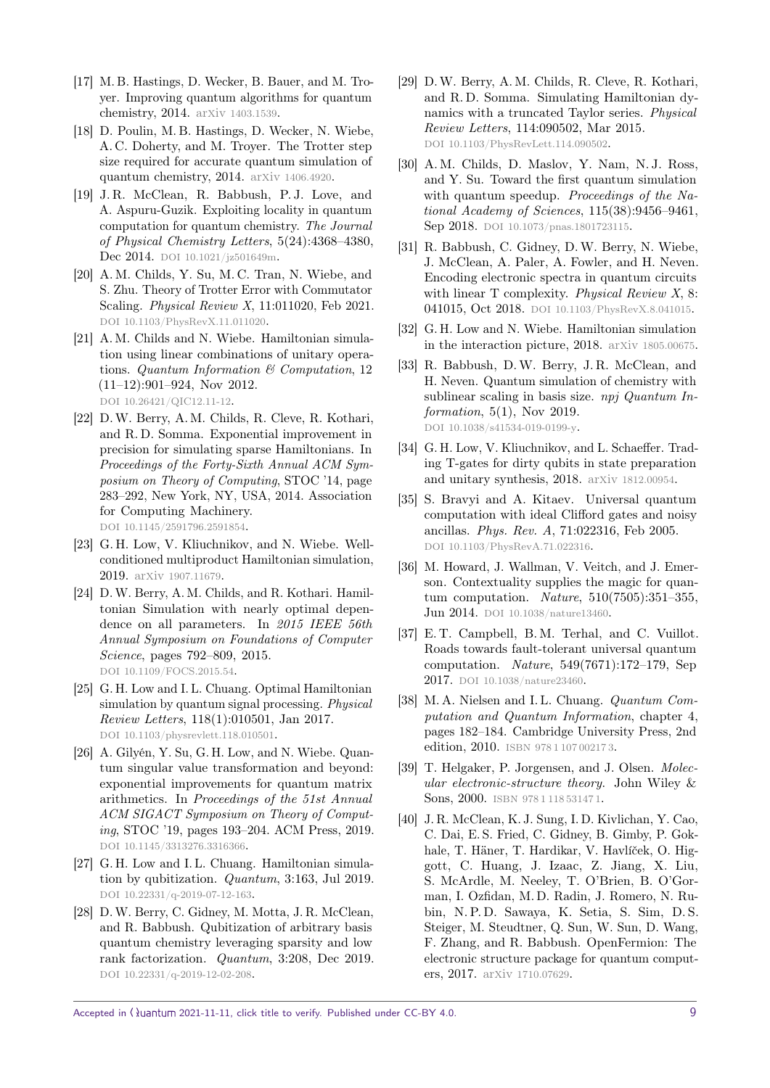- [17] M. B. Hastings, D. Wecker, B. Bauer, and M. Troyer. Improving quantum algorithms for quantum chemistry, 2014. arxiv [1403.1539](https://arxiv.org/abs/1403.1539).
- [18] D. Poulin, M. B. Hastings, D. Wecker, N. Wiebe, A. C. Doherty, and M. Troyer. The Trotter step size required for accurate quantum simulation of quantum chemistry, 2014. arxiv [1406.4920](https://arxiv.org/abs/1406.4920).
- [19] J. R. McClean, R. Babbush, P. J. Love, and A. Aspuru-Guzik. Exploiting locality in quantum computation for quantum chemistry. The Journal of Physical Chemistry Letters, 5(24):4368–4380, Dec 2014. DOI [10.1021/jz501649m](https://doi.org/10.1021/jz501649m).
- <span id="page-8-0"></span>[20] A. M. Childs, Y. Su, M. C. Tran, N. Wiebe, and S. Zhu. Theory of Trotter Error with Commutator Scaling. Physical Review X, 11:011020, Feb 2021. DOI [10.1103/PhysRevX.11.011020](https://doi.org/10.1103/PhysRevX.11.011020).
- <span id="page-8-1"></span>[21] A. M. Childs and N. Wiebe. Hamiltonian simulation using linear combinations of unitary operations. Quantum Information & Computation, 12 (11–12):901–924, Nov 2012. doi [10.26421/QIC12.11-12](https://doi.org/10.26421/QIC12.11-12).
- <span id="page-8-2"></span>[22] D.W. Berry, A. M. Childs, R. Cleve, R. Kothari, and R. D. Somma. Exponential improvement in precision for simulating sparse Hamiltonians. In Proceedings of the Forty-Sixth Annual ACM Symposium on Theory of Computing, STOC '14, page 283–292, New York, NY, USA, 2014. Association for Computing Machinery. DOI [10.1145/2591796.2591854](https://doi.org/10.1145/2591796.2591854).
- <span id="page-8-3"></span>[23] G. H. Low, V. Kliuchnikov, and N. Wiebe. Wellconditioned multiproduct Hamiltonian simulation, 2019. arxiv [1907.11679](https://arxiv.org/abs/1907.11679).
- <span id="page-8-4"></span>[24] D.W. Berry, A. M. Childs, and R. Kothari. Hamiltonian Simulation with nearly optimal dependence on all parameters. In 2015 IEEE 56th Annual Symposium on Foundations of Computer Science, pages 792–809, 2015. DOI [10.1109/FOCS.2015.54](https://doi.org/10.1109/FOCS.2015.54).
- <span id="page-8-5"></span>[25] G. H. Low and I. L. Chuang. Optimal Hamiltonian simulation by quantum signal processing. Physical Review Letters, 118(1):010501, Jan 2017. DOI [10.1103/physrevlett.118.010501](https://doi.org/10.1103/physrevlett.118.010501).
- <span id="page-8-6"></span>[26] A. Gilyén, Y. Su, G. H. Low, and N. Wiebe. Quantum singular value transformation and beyond: exponential improvements for quantum matrix arithmetics. In Proceedings of the 51st Annual ACM SIGACT Symposium on Theory of Computing, STOC '19, pages 193–204. ACM Press, 2019. DOI [10.1145/3313276.3316366](https://doi.org/10.1145/3313276.3316366).
- <span id="page-8-7"></span>[27] G. H. Low and I. L. Chuang. Hamiltonian simulation by qubitization. Quantum, 3:163, Jul 2019. DOI [10.22331/q-2019-07-12-163](https://doi.org/10.22331/q-2019-07-12-163).
- <span id="page-8-8"></span>[28] D.W. Berry, C. Gidney, M. Motta, J. R. McClean, and R. Babbush. Qubitization of arbitrary basis quantum chemistry leveraging sparsity and low rank factorization. Quantum, 3:208, Dec 2019. DOI [10.22331/q-2019-12-02-208](https://doi.org/10.22331/q-2019-12-02-208).
- <span id="page-8-9"></span>[29] D.W. Berry, A. M. Childs, R. Cleve, R. Kothari, and R. D. Somma. Simulating Hamiltonian dynamics with a truncated Taylor series. Physical Review Letters, 114:090502, Mar 2015. DOI [10.1103/PhysRevLett.114.090502](https://doi.org/10.1103/PhysRevLett.114.090502).
- <span id="page-8-10"></span>[30] A. M. Childs, D. Maslov, Y. Nam, N. J. Ross, and Y. Su. Toward the first quantum simulation with quantum speedup. Proceedings of the National Academy of Sciences, 115(38):9456–9461, Sep 2018. DOI [10.1073/pnas.1801723115](https://doi.org/10.1073/pnas.1801723115).
- <span id="page-8-11"></span>[31] R. Babbush, C. Gidney, D.W. Berry, N. Wiebe, J. McClean, A. Paler, A. Fowler, and H. Neven. Encoding electronic spectra in quantum circuits with linear T complexity. *Physical Review X*, 8: 041015, Oct 2018. DOI [10.1103/PhysRevX.8.041015](https://doi.org/10.1103/PhysRevX.8.041015).
- <span id="page-8-12"></span>[32] G. H. Low and N. Wiebe. Hamiltonian simulation in the interaction picture, 2018. arxiv [1805.00675](https://arxiv.org/abs/1805.00675).
- <span id="page-8-13"></span>[33] R. Babbush, D.W. Berry, J. R. McClean, and H. Neven. Quantum simulation of chemistry with sublinear scaling in basis size. npj Quantum Information, 5(1), Nov 2019. DOI [10.1038/s41534-019-0199-y](https://doi.org/10.1038/s41534-019-0199-y).
- <span id="page-8-14"></span>[34] G. H. Low, V. Kliuchnikov, and L. Schaeffer. Trading T-gates for dirty qubits in state preparation and unitary synthesis, 2018. arxiv [1812.00954](https://arxiv.org/abs/1812.00954).
- <span id="page-8-15"></span>[35] S. Bravyi and A. Kitaev. Universal quantum computation with ideal Clifford gates and noisy ancillas. Phys. Rev. A, 71:022316, Feb 2005. DOI [10.1103/PhysRevA.71.022316](https://doi.org/10.1103/PhysRevA.71.022316).
- [36] M. Howard, J. Wallman, V. Veitch, and J. Emerson. Contextuality supplies the magic for quantum computation. Nature, 510(7505):351–355, Jun 2014. DOI [10.1038/nature13460](https://doi.org/10.1038/nature13460).
- <span id="page-8-16"></span>[37] E.T. Campbell, B.M. Terhal, and C. Vuillot. Roads towards fault-tolerant universal quantum computation. Nature, 549(7671):172–179, Sep 2017. DOI [10.1038/nature23460](https://doi.org/10.1038/nature23460).
- <span id="page-8-17"></span>[38] M.A. Nielsen and I.L. Chuang. Quantum Computation and Quantum Information, chapter 4, pages 182–184. Cambridge University Press, 2nd edition, 2010. ISBN 9781107002173.
- <span id="page-8-18"></span>[39] T. Helgaker, P. Jorgensen, and J. Olsen. Molecular electronic-structure theory. John Wiley & Sons, 2000. ISBN 9781118531471.
- <span id="page-8-19"></span>[40] J. R. McClean, K. J. Sung, I. D. Kivlichan, Y. Cao, C. Dai, E. S. Fried, C. Gidney, B. Gimby, P. Gokhale, T. Häner, T. Hardikar, V. Havlíček, O. Higgott, C. Huang, J. Izaac, Z. Jiang, X. Liu, S. McArdle, M. Neeley, T. O'Brien, B. O'Gorman, I. Ozfidan, M. D. Radin, J. Romero, N. Rubin, N. P. D. Sawaya, K. Setia, S. Sim, D. S. Steiger, M. Steudtner, Q. Sun, W. Sun, D. Wang, F. Zhang, and R. Babbush. OpenFermion: The electronic structure package for quantum computers, 2017. arxiv [1710.07629](https://arxiv.org/abs/1710.07629).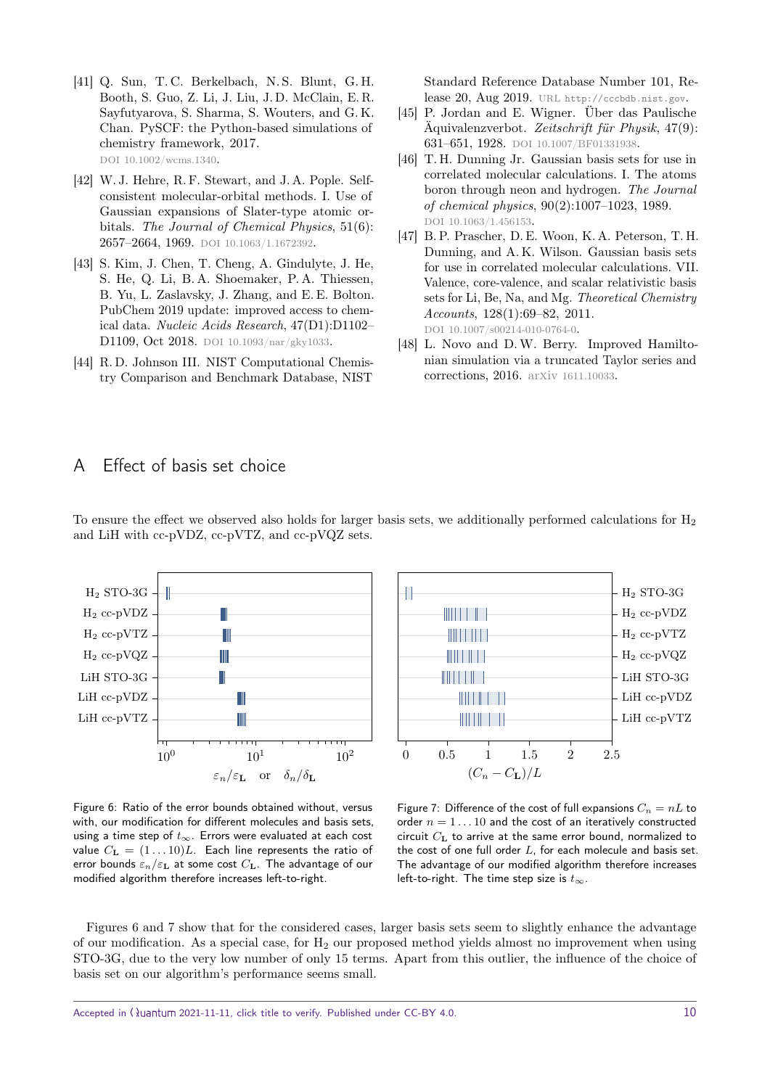- <span id="page-9-0"></span>[41] Q. Sun, T. C. Berkelbach, N. S. Blunt, G. H. Booth, S. Guo, Z. Li, J. Liu, J. D. McClain, E. R. Sayfutyarova, S. Sharma, S. Wouters, and G. K. Chan. PySCF: the Python-based simulations of chemistry framework, 2017. DOI [10.1002/wcms.1340](https://doi.org/10.1002/wcms.1340).
- <span id="page-9-1"></span>[42] W. J. Hehre, R. F. Stewart, and J. A. Pople. Selfconsistent molecular-orbital methods. I. Use of Gaussian expansions of Slater-type atomic orbitals. The Journal of Chemical Physics, 51(6): 2657-2664, 1969. DOI [10.1063/1.1672392](https://doi.org/10.1063/1.1672392).
- <span id="page-9-2"></span>[43] S. Kim, J. Chen, T. Cheng, A. Gindulyte, J. He, S. He, Q. Li, B. A. Shoemaker, P. A. Thiessen, B. Yu, L. Zaslavsky, J. Zhang, and E. E. Bolton. PubChem 2019 update: improved access to chemical data. Nucleic Acids Research, 47(D1):D1102– D1109, Oct 2018. DOI [10.1093/nar/gky1033](https://doi.org/10.1093/nar/gky1033).
- <span id="page-9-3"></span>[44] R. D. Johnson III. NIST Computational Chemistry Comparison and Benchmark Database, NIST

Standard Reference Database Number 101, Release 20, Aug 2019. url <http://cccbdb.nist.gov>.

- <span id="page-9-4"></span>[45] P. Jordan and E. Wigner. Über das Paulische Äquivalenzverbot. Zeitschrift für Physik, 47(9): 631–651, 1928. doi [10.1007/BF01331938](https://doi.org/10.1007/BF01331938).
- <span id="page-9-5"></span>[46] T. H. Dunning Jr. Gaussian basis sets for use in correlated molecular calculations. I. The atoms boron through neon and hydrogen. The Journal of chemical physics, 90(2):1007–1023, 1989. DOI [10.1063/1.456153](https://doi.org/10.1063/1.456153).
- <span id="page-9-6"></span>[47] B. P. Prascher, D. E. Woon, K. A. Peterson, T. H. Dunning, and A. K. Wilson. Gaussian basis sets for use in correlated molecular calculations. VII. Valence, core-valence, and scalar relativistic basis sets for Li, Be, Na, and Mg. Theoretical Chemistry Accounts, 128(1):69–82, 2011. DOI [10.1007/s00214-010-0764-0](https://doi.org/10.1007/s00214-010-0764-0).
- <span id="page-9-8"></span>[48] L. Novo and D.W. Berry. Improved Hamiltonian simulation via a truncated Taylor series and corrections, 2016. arxiv [1611.10033](https://arxiv.org/abs/1611.10033).

## <span id="page-9-7"></span>A Effect of basis set choice

<span id="page-9-9"></span>

To ensure the effect we observed also holds for larger basis sets, we additionally performed calculations for  $H_2$ and LiH with cc-pVDZ, cc-pVTZ, and cc-pVQZ sets.



Figure 6: Ratio of the error bounds obtained without, versus with, our modification for different molecules and basis sets, using a time step of  $t_{\infty}$ . Errors were evaluated at each cost value  $C_{\mathbf{L}} = (1 \dots 10)L$ . Each line represents the ratio of error bounds  $\varepsilon_n/\varepsilon_{\mathbf{L}}$  at some cost  $C_{\mathbf{L}}$ . The advantage of our modified algorithm therefore increases left-to-right.

Figure 7: Difference of the cost of full expansions  $C_n = nL$  to order  $n = 1 \dots 10$  and the cost of an iteratively constructed circuit  $C_{\mathbf{L}}$  to arrive at the same error bound, normalized to the cost of one full order  $L$ , for each molecule and basis set. The advantage of our modified algorithm therefore increases left-to-right. The time step size is  $t_{\infty}$ .

Figures [6](#page-9-9) and [7](#page-9-9) show that for the considered cases, larger basis sets seem to slightly enhance the advantage of our modification. As a special case, for  $H_2$  our proposed method yields almost no improvement when using STO-3G, due to the very low number of only 15 terms. Apart from this outlier, the influence of the choice of basis set on our algorithm's performance seems small.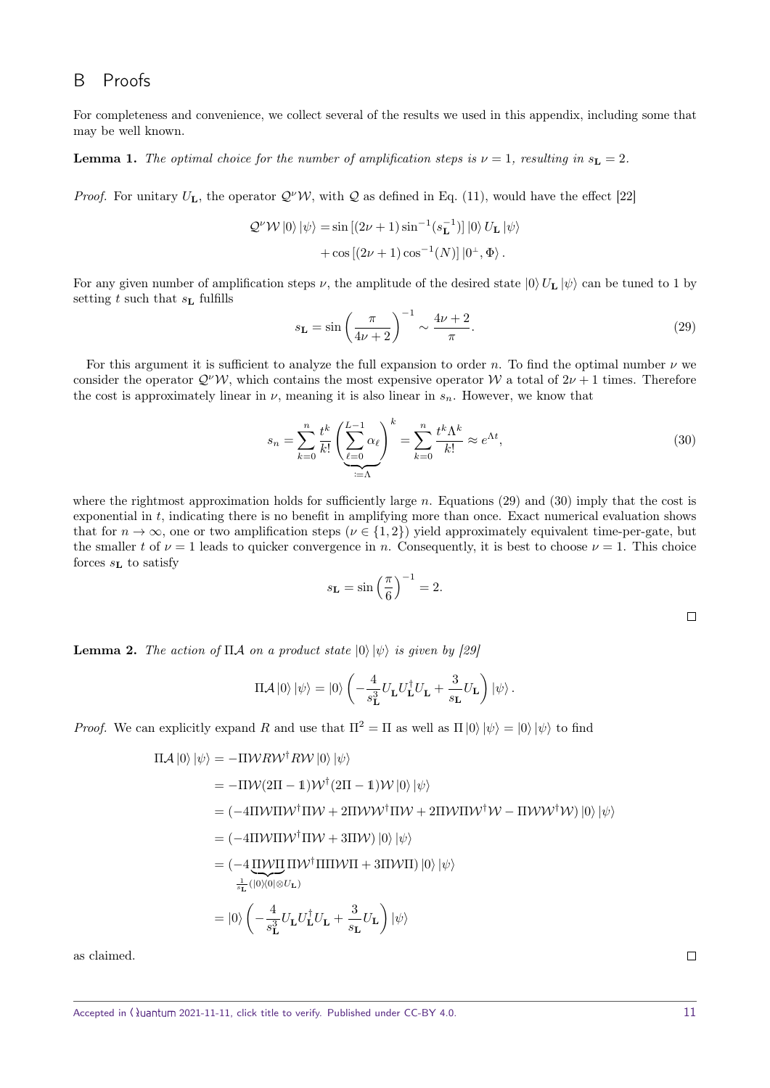## <span id="page-10-1"></span>B Proofs

For completeness and convenience, we collect several of the results we used in this appendix, including some that may be well known.

<span id="page-10-0"></span>**Lemma 1.** The optimal choice for the number of amplification steps is  $\nu = 1$ , resulting in  $s_L = 2$ .

*Proof.* For unitary  $U_L$ , the operator  $Q^{\nu}W$ , with Q as defined in Eq. [\(11\)](#page-2-2), would have the effect [\[22\]](#page-8-2)

$$
\mathcal{Q}^{\nu} \mathcal{W} |0\rangle |\psi\rangle = \sin \left[ (2\nu + 1) \sin^{-1} (s_{\mathbf{L}}^{-1}) \right] |0\rangle U_{\mathbf{L}} |\psi\rangle
$$

$$
+ \cos \left[ (2\nu + 1) \cos^{-1} (N) \right] |0^{\perp}, \Phi\rangle .
$$

For any given number of amplification steps  $\nu$ , the amplitude of the desired state  $|0\rangle U_L |\psi\rangle$  can be tuned to 1 by setting t such that  $s_{\text{L}}$  fulfills

<span id="page-10-3"></span>
$$
s_{\mathbf{L}} = \sin\left(\frac{\pi}{4\nu + 2}\right)^{-1} \sim \frac{4\nu + 2}{\pi}.\tag{29}
$$

For this argument it is sufficient to analyze the full expansion to order n. To find the optimal number  $\nu$  we consider the operator  $Q^{\nu}{\cal W}$ , which contains the most expensive operator W a total of  $2\nu+1$  times. Therefore the cost is approximately linear in  $\nu$ , meaning it is also linear in  $s_n$ . However, we know that

$$
s_n = \sum_{k=0}^n \frac{t^k}{k!} \left( \sum_{\ell=0}^{L-1} \alpha_\ell \right)^k = \sum_{k=0}^n \frac{t^k \Lambda^k}{k!} \approx e^{\Lambda t},\tag{30}
$$

where the rightmost approximation holds for sufficiently large n. Equations [\(29\)](#page-10-3) and [\(30\)](#page-10-4) imply that the cost is exponential in t, indicating there is no benefit in amplifying more than once. Exact numerical evaluation shows that for  $n \to \infty$ , one or two amplification steps  $(\nu \in \{1,2\})$  yield approximately equivalent time-per-gate, but the smaller t of  $\nu = 1$  leads to quicker convergence in n. Consequently, it is best to choose  $\nu = 1$ . This choice forces  $s_{\text{L}}$  to satisfy

$$
s_{\mathbf{L}} = \sin\left(\frac{\pi}{6}\right)^{-1} = 2.
$$

<span id="page-10-4"></span>

<span id="page-10-2"></span>**Lemma 2.** The action of  $\Pi A$  on a product state  $|0\rangle |\psi\rangle$  is given by [\[29\]](#page-8-9)

$$
\Pi \mathcal{A} \left| 0 \right\rangle \left| \psi \right\rangle = \left| 0 \right\rangle \left( -\frac{4}{s_{\mathrm{L}}^3} U_{\mathrm{L}} U_{\mathrm{L}}^\dagger U_{\mathrm{L}} + \frac{3}{s_{\mathrm{L}}} U_{\mathrm{L}} \right) \left| \psi \right\rangle.
$$

*Proof.* We can explicitly expand R and use that  $\Pi^2 = \Pi$  as well as  $\Pi |0\rangle |\psi\rangle = |0\rangle |\psi\rangle$  to find

$$
\Pi \mathcal{A} |0\rangle |\psi\rangle = -\Pi \mathcal{W} R \mathcal{W}^{\dagger} R \mathcal{W} |0\rangle |\psi\rangle
$$
  
\n
$$
= -\Pi \mathcal{W} (2\Pi - 1) \mathcal{W}^{\dagger} (2\Pi - 1) \mathcal{W} |0\rangle |\psi\rangle
$$
  
\n
$$
= (-4\Pi \mathcal{W} \Pi \mathcal{W}^{\dagger} \Pi \mathcal{W} + 2\Pi \mathcal{W} \mathcal{W}^{\dagger} \Pi \mathcal{W} + 2\Pi \mathcal{W} \Pi \mathcal{W}^{\dagger} \mathcal{W} - \Pi \mathcal{W} \mathcal{W}^{\dagger} \mathcal{W}) |0\rangle |\psi\rangle
$$
  
\n
$$
= (-4\Pi \mathcal{W} \Pi \mathcal{W}^{\dagger} \Pi \mathcal{W} + 3\Pi \mathcal{W}) |0\rangle |\psi\rangle
$$
  
\n
$$
= (-4\Pi \mathcal{W} \Pi \Pi \mathcal{W}^{\dagger} \Pi \Pi \mathcal{W} \Pi + 3\Pi \mathcal{W} \Pi) |0\rangle |\psi\rangle
$$
  
\n
$$
= |0\rangle \left( -\frac{4}{s_{\mathrm{L}}^3} U_{\mathrm{L}} U_{\mathrm{L}}^{\dagger} U_{\mathrm{L}} + \frac{3}{s_{\mathrm{L}}} U_{\mathrm{L}} \right) |\psi\rangle
$$

as claimed.

 $\Box$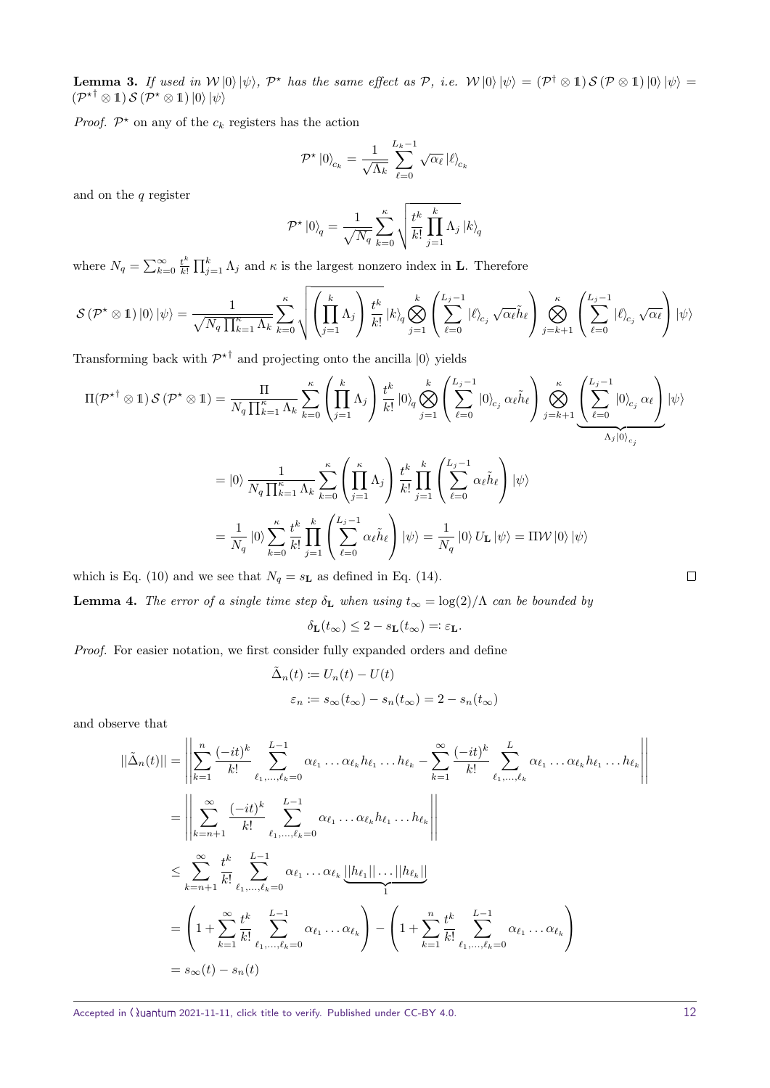<span id="page-11-0"></span>**Lemma 3.** If used in  $W|0\rangle|\psi\rangle$ ,  $\mathcal{P}^*$  has the same effect as  $\mathcal{P}$ , i.e.  $W|0\rangle|\psi\rangle = (\mathcal{P}^{\dagger} \otimes \mathbb{1}) S(\mathcal{P} \otimes \mathbb{1})|0\rangle|\psi\rangle =$  $(\mathcal{P}^{\star \dagger} \otimes 1) \mathcal{S} (\mathcal{P}^{\star} \otimes 1) |0\rangle |\psi\rangle$ 

*Proof.*  $\mathcal{P}^*$  on any of the  $c_k$  registers has the action

$$
\mathcal{P}^{\star} \ket{0}_{c_k} = \frac{1}{\sqrt{\Lambda_k}} \sum_{\ell=0}^{L_k-1} \sqrt{\alpha_{\ell}} \ket{\ell}_{c_k}
$$

and on the  $q$  register

$$
\mathcal{P}^\star \left|0\right\rangle_q = \frac{1}{\sqrt{N_q}} \sum_{k=0}^\kappa \sqrt{\frac{t^k}{k!} \prod_{j=1}^k \Lambda_j} \left|k\right\rangle_q
$$

where  $N_q = \sum_{k=0}^{\infty} \frac{t^k}{k!}$  $\frac{t^k}{k!} \prod_{j=1}^k \Lambda_j$  and  $\kappa$  is the largest nonzero index in **L**. Therefore

$$
\mathcal{S}\left(\mathcal{P}^{\star}\otimes\mathbb{1}\right)\left|0\right\rangle\left|\psi\right\rangle =\frac{1}{\sqrt{N_{q}\prod_{k=1}^{\kappa}\Lambda_{k}}}\sum_{k=0}^{\kappa}\sqrt{\left(\prod_{j=1}^{k}\Lambda_{j}\right)\frac{t^{k}}{k!}}\left|k\right\rangle_{q}\bigotimes_{j=1}^{k}\left(\sum_{\ell=0}^{L_{j}-1}\left|\ell\right\rangle_{c_{j}}\sqrt{\alpha_{\ell}}\tilde{h}_{\ell}\right)\bigotimes_{j=k+1}^{\kappa}\left(\sum_{\ell=0}^{L_{j}-1}\left|\ell\right\rangle_{c_{j}}\sqrt{\alpha_{\ell}}\right)\left|\psi\right\rangle
$$

Transforming back with  $\mathcal{P}^{\star \dagger}$  and projecting onto the ancilla  $|0\rangle$  yields

$$
\Pi(\mathcal{P}^{* \dagger} \otimes 1) \mathcal{S}(\mathcal{P}^{*} \otimes 1) = \frac{\Pi}{N_{q} \prod_{k=1}^{\kappa} \Lambda_{k}} \sum_{k=0}^{\kappa} \left( \prod_{j=1}^{k} \Lambda_{j} \right) \frac{t^{k}}{k!} \left| 0 \right\rangle_{q} \bigotimes_{j=1}^{k} \left( \sum_{\ell=0}^{L_{j}-1} |0 \rangle_{c_{j}} \alpha_{\ell} \tilde{h}_{\ell} \right) \bigotimes_{j=k+1}^{\kappa} \underbrace{\left( \sum_{\ell=0}^{L_{j}-1} |0 \rangle_{c_{j}} \alpha_{\ell} \right)}_{\Lambda_{j}|0 \rangle_{c_{j}}} \left| \psi \right\rangle
$$
\n
$$
= |0 \rangle \frac{1}{N_{q} \prod_{k=1}^{\kappa} \Lambda_{k}} \sum_{k=0}^{\kappa} \left( \prod_{j=1}^{\kappa} \Lambda_{j} \right) \frac{t^{k}}{k!} \prod_{j=1}^{k} \left( \sum_{\ell=0}^{L_{j}-1} \alpha_{\ell} \tilde{h}_{\ell} \right) |\psi\rangle
$$
\n
$$
= \frac{1}{N_{q}} |0 \rangle \sum_{k=0}^{\kappa} \frac{t^{k}}{k!} \prod_{j=1}^{k} \left( \sum_{\ell=0}^{L_{j}-1} \alpha_{\ell} \tilde{h}_{\ell} \right) |\psi\rangle = \frac{1}{N_{q}} |0 \rangle U_{\mathbf{L}} |\psi\rangle = \Pi \mathcal{W} |0\rangle |\psi\rangle
$$

which is Eq. [\(10\)](#page-2-0) and we see that  $N_q = s_L$  as defined in Eq. [\(14\)](#page-2-3).

<span id="page-11-1"></span>**Lemma 4.** The error of a single time step  $\delta_{\mathbf{L}}$  when using  $t_{\infty} = \log(2)/\Lambda$  can be bounded by

$$
\delta_{\mathbf{L}}(t_{\infty}) \leq 2 - s_{\mathbf{L}}(t_{\infty}) = \varepsilon_{\mathbf{L}}.
$$

Proof. For easier notation, we first consider fully expanded orders and define

$$
\tilde{\Delta}_n(t) := U_n(t) - U(t)
$$
  

$$
\varepsilon_n := s_{\infty}(t_{\infty}) - s_n(t_{\infty}) = 2 - s_n(t_{\infty})
$$

and observe that

$$
||\tilde{\Delta}_n(t)|| = \left\| \sum_{k=1}^n \frac{(-it)^k}{k!} \sum_{\ell_1, ..., \ell_k=0}^{L-1} \alpha_{\ell_1} \dots \alpha_{\ell_k} h_{\ell_1} \dots h_{\ell_k} - \sum_{k=1}^\infty \frac{(-it)^k}{k!} \sum_{\ell_1, ..., \ell_k}^{L} \alpha_{\ell_1} \dots \alpha_{\ell_k} h_{\ell_1} \dots h_{\ell_k} \right\|
$$
  
\n
$$
= \left\| \sum_{k=n+1}^\infty \frac{(-it)^k}{k!} \sum_{\ell_1, ..., \ell_k=0}^{L-1} \alpha_{\ell_1} \dots \alpha_{\ell_k} h_{\ell_1} \dots h_{\ell_k} \right\|
$$
  
\n
$$
\leq \sum_{k=n+1}^\infty \frac{t^k}{k!} \sum_{\ell_1, ..., \ell_k=0}^{L-1} \alpha_{\ell_1} \dots \alpha_{\ell_k} \underbrace{||h_{\ell_1}|| \dots ||h_{\ell_k}||}_{1}
$$
  
\n
$$
= \left( 1 + \sum_{k=1}^\infty \frac{t^k}{k!} \sum_{\ell_1, ..., \ell_k=0}^{L-1} \alpha_{\ell_1} \dots \alpha_{\ell_k} \right) - \left( 1 + \sum_{k=1}^n \frac{t^k}{k!} \sum_{\ell_1, ..., \ell_k=0}^{L-1} \alpha_{\ell_1} \dots \alpha_{\ell_k} \right)
$$
  
\n
$$
= s_\infty(t) - s_n(t)
$$

Accepted in ( $\lambda$ uantum 2021-11-11, click title to verify. Published under CC-BY 4.0. 12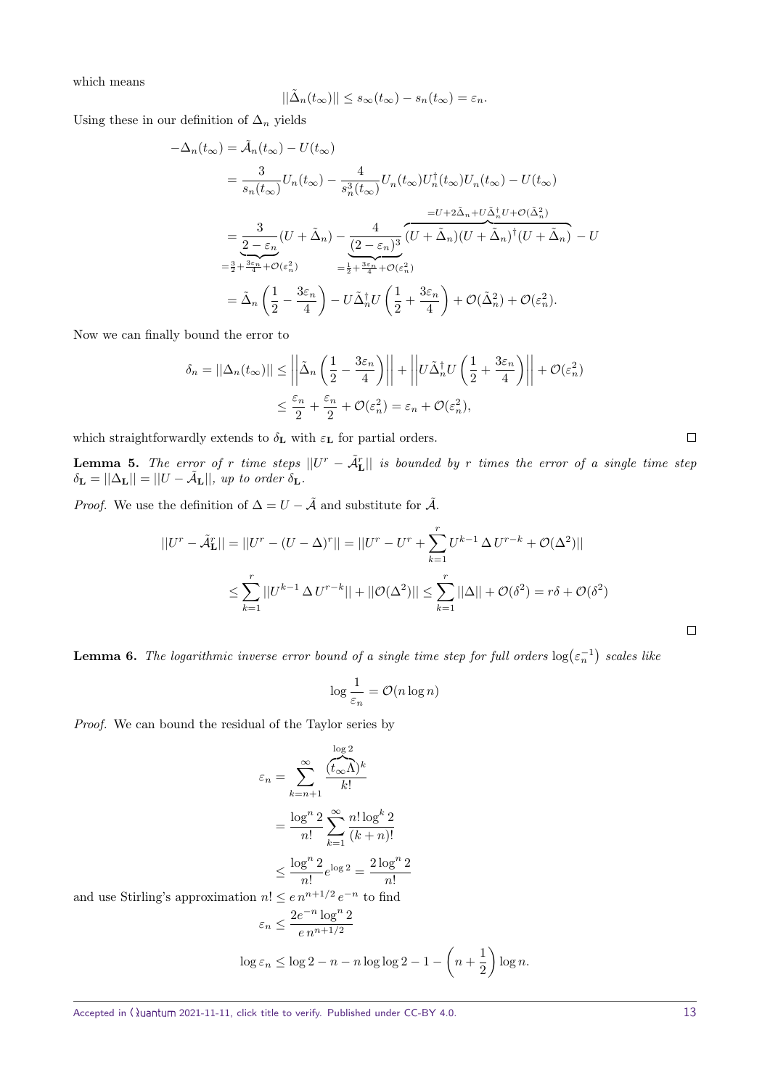which means

$$
||\tilde{\Delta}_n(t_\infty)|| \leq s_\infty(t_\infty) - s_n(t_\infty) = \varepsilon_n.
$$

Using these in our definition of  $\Delta_n$  yields

$$
-\Delta_n(t_\infty) = \tilde{\mathcal{A}}_n(t_\infty) - U(t_\infty)
$$
  
\n
$$
= \frac{3}{s_n(t_\infty)} U_n(t_\infty) - \frac{4}{s_n^3(t_\infty)} U_n(t_\infty) U_n^\dagger(t_\infty) U_n(t_\infty) - U(t_\infty)
$$
  
\n
$$
= \frac{3}{2 - \varepsilon_n} (U + \tilde{\Delta}_n) - \frac{4}{(2 - \varepsilon_n)^3} \overbrace{(U + \tilde{\Delta}_n)(U + \tilde{\Delta}_n)^\dagger (U + \tilde{\Delta}_n)}^{= U + 2\tilde{\Delta}_n + U\tilde{\Delta}_n^\dagger U + O(\tilde{\Delta}_n^2)}
$$
  
\n
$$
= \frac{3}{2 + \frac{3\varepsilon_n}{4} + O(\varepsilon_n^2)} = \frac{4}{2 + \frac{3\varepsilon_n}{4} + O(\varepsilon_n^2)}
$$
  
\n
$$
= \tilde{\Delta}_n \left(\frac{1}{2} - \frac{3\varepsilon_n}{4}\right) - U\tilde{\Delta}_n^\dagger U \left(\frac{1}{2} + \frac{3\varepsilon_n}{4}\right) + O(\tilde{\Delta}_n^2) + O(\varepsilon_n^2).
$$

Now we can finally bound the error to

$$
\delta_n = ||\Delta_n(t_\infty)|| \le \left| \left| \tilde{\Delta}_n \left( \frac{1}{2} - \frac{3\varepsilon_n}{4} \right) \right| \right| + \left| \left| U \tilde{\Delta}_n^\dagger U \left( \frac{1}{2} + \frac{3\varepsilon_n}{4} \right) \right| \right| + \mathcal{O}(\varepsilon_n^2)
$$
  

$$
\le \frac{\varepsilon_n}{2} + \frac{\varepsilon_n}{2} + \mathcal{O}(\varepsilon_n^2) = \varepsilon_n + \mathcal{O}(\varepsilon_n^2),
$$

which straightforwardly extends to  $\delta_{\mathbf{L}}$  with  $\varepsilon_{\mathbf{L}}$  for partial orders.

<span id="page-12-0"></span>**Lemma 5.** The error of r time steps  $||U^r - \tilde{A}_{\textbf{L}}^r||$  is bounded by r times the error of a single time step  $\delta_{\mathbf{L}} = ||\Delta_{\mathbf{L}}|| = ||U - \tilde{\mathcal{A}}_{\mathbf{L}}||$ , up to order  $\delta_{\mathbf{L}}$ .

*Proof.* We use the definition of  $\Delta = U - \tilde{A}$  and substitute for  $\tilde{A}$ .

$$
||U^r - \tilde{\mathcal{A}}_L^r|| = ||U^r - (U - \Delta)^r|| = ||U^r - U^r + \sum_{k=1}^r U^{k-1} \Delta U^{r-k} + \mathcal{O}(\Delta^2)||
$$
  

$$
\leq \sum_{k=1}^r ||U^{k-1} \Delta U^{r-k}|| + ||\mathcal{O}(\Delta^2)|| \leq \sum_{k=1}^r ||\Delta|| + \mathcal{O}(\delta^2) = r\delta + \mathcal{O}(\delta^2)
$$

<span id="page-12-1"></span>**Lemma 6.** The logarithmic inverse error bound of a single time step for full orders  $\log(\varepsilon_n^{-1})$  scales like

$$
\log \frac{1}{\varepsilon_n} = \mathcal{O}(n \log n)
$$

Proof. We can bound the residual of the Taylor series by

$$
\varepsilon_n = \sum_{k=n+1}^{\infty} \frac{\frac{\log 2}{(t_{\infty} \Lambda)^k}}{k!}
$$

$$
= \frac{\log^n 2}{n!} \sum_{k=1}^{\infty} \frac{n! \log^k 2}{(k+n)!}
$$

$$
\leq \frac{\log^n 2}{n!} e^{\log 2} = \frac{2 \log^n 2}{n!}
$$
  
and 
$$
n! \leq e n^{n+1/2} e^{-n} \text{ to find}
$$

and use Stirling's approximation

$$
\varepsilon_n \le \frac{2e^{-n}\log^n 2}{e\,n^{n+1/2}}
$$

$$
\log \varepsilon_n \le \log 2 - n - n \log \log 2 - 1 - \left(n + \frac{1}{2}\right) \log n.
$$

 $\Box$ 

 $\Box$